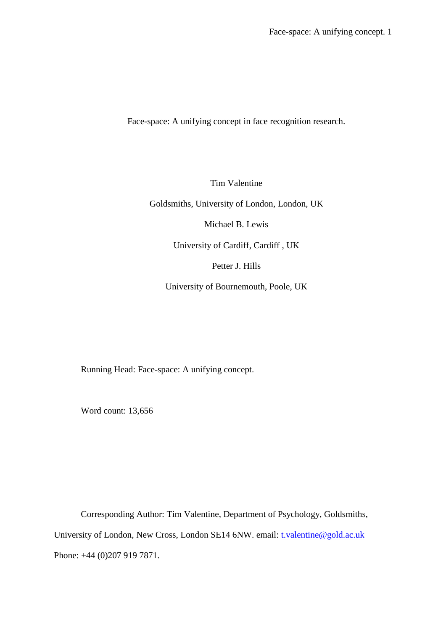Face-space: A unifying concept in face recognition research.

Tim Valentine

Goldsmiths, University of London, London, UK

Michael B. Lewis

University of Cardiff, Cardiff , UK

Petter J. Hills

University of Bournemouth, Poole, UK

Running Head: Face-space: A unifying concept.

Word count: 13,656

Corresponding Author: Tim Valentine, Department of Psychology, Goldsmiths, University of London, New Cross, London SE14 6NW. email: *t.valentine@gold.ac.uk* Phone: +44 (0)207 919 7871.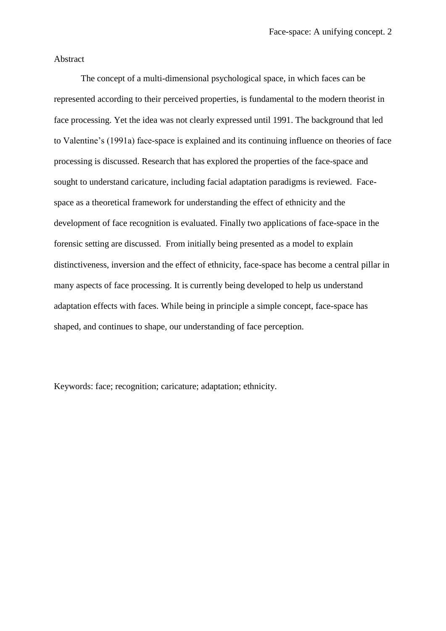## Abstract

The concept of a multi-dimensional psychological space, in which faces can be represented according to their perceived properties, is fundamental to the modern theorist in face processing. Yet the idea was not clearly expressed until 1991. The background that led to Valentine's (1991a) face-space is explained and its continuing influence on theories of face processing is discussed. Research that has explored the properties of the face-space and sought to understand caricature, including facial adaptation paradigms is reviewed. Facespace as a theoretical framework for understanding the effect of ethnicity and the development of face recognition is evaluated. Finally two applications of face-space in the forensic setting are discussed. From initially being presented as a model to explain distinctiveness, inversion and the effect of ethnicity, face-space has become a central pillar in many aspects of face processing. It is currently being developed to help us understand adaptation effects with faces. While being in principle a simple concept, face-space has shaped, and continues to shape, our understanding of face perception.

Keywords: face; recognition; caricature; adaptation; ethnicity.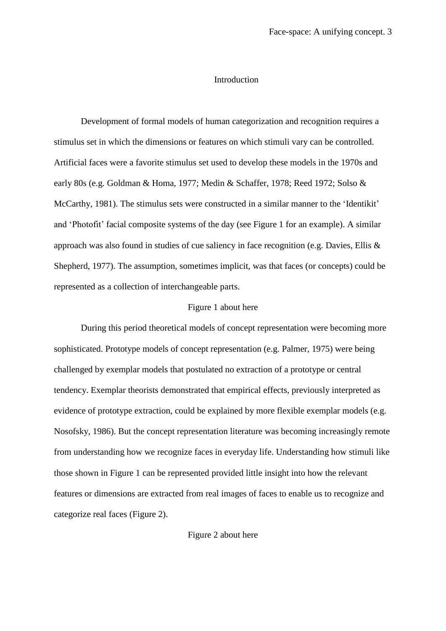#### **Introduction**

Development of formal models of human categorization and recognition requires a stimulus set in which the dimensions or features on which stimuli vary can be controlled. Artificial faces were a favorite stimulus set used to develop these models in the 1970s and early 80s (e.g. Goldman & Homa, 1977; Medin & Schaffer, 1978; Reed 1972; Solso & McCarthy, 1981). The stimulus sets were constructed in a similar manner to the 'Identikit' and 'Photofit' facial composite systems of the day (see Figure 1 for an example). A similar approach was also found in studies of cue saliency in face recognition (e.g. Davies, Ellis & Shepherd, 1977). The assumption, sometimes implicit, was that faces (or concepts) could be represented as a collection of interchangeable parts.

## Figure 1 about here

During this period theoretical models of concept representation were becoming more sophisticated. Prototype models of concept representation (e.g. Palmer, 1975) were being challenged by exemplar models that postulated no extraction of a prototype or central tendency. Exemplar theorists demonstrated that empirical effects, previously interpreted as evidence of prototype extraction, could be explained by more flexible exemplar models (e.g. Nosofsky, 1986). But the concept representation literature was becoming increasingly remote from understanding how we recognize faces in everyday life. Understanding how stimuli like those shown in Figure 1 can be represented provided little insight into how the relevant features or dimensions are extracted from real images of faces to enable us to recognize and categorize real faces (Figure 2).

Figure 2 about here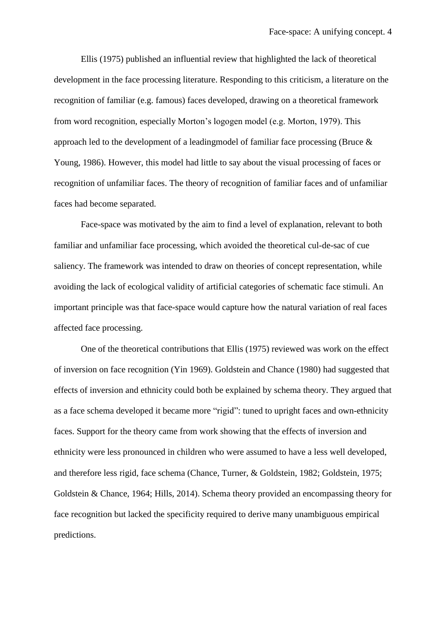Ellis (1975) published an influential review that highlighted the lack of theoretical development in the face processing literature. Responding to this criticism, a literature on the recognition of familiar (e.g. famous) faces developed, drawing on a theoretical framework from word recognition, especially Morton's logogen model (e.g. Morton, 1979). This approach led to the development of a leadingmodel of familiar face processing (Bruce & Young, 1986). However, this model had little to say about the visual processing of faces or recognition of unfamiliar faces. The theory of recognition of familiar faces and of unfamiliar faces had become separated.

Face-space was motivated by the aim to find a level of explanation, relevant to both familiar and unfamiliar face processing, which avoided the theoretical cul-de-sac of cue saliency. The framework was intended to draw on theories of concept representation, while avoiding the lack of ecological validity of artificial categories of schematic face stimuli. An important principle was that face-space would capture how the natural variation of real faces affected face processing.

One of the theoretical contributions that Ellis (1975) reviewed was work on the effect of inversion on face recognition (Yin 1969). Goldstein and Chance (1980) had suggested that effects of inversion and ethnicity could both be explained by schema theory. They argued that as a face schema developed it became more "rigid": tuned to upright faces and own-ethnicity faces. Support for the theory came from work showing that the effects of inversion and ethnicity were less pronounced in children who were assumed to have a less well developed, and therefore less rigid, face schema (Chance, Turner, & Goldstein, 1982; Goldstein, 1975; Goldstein & Chance, 1964; Hills, 2014). Schema theory provided an encompassing theory for face recognition but lacked the specificity required to derive many unambiguous empirical predictions.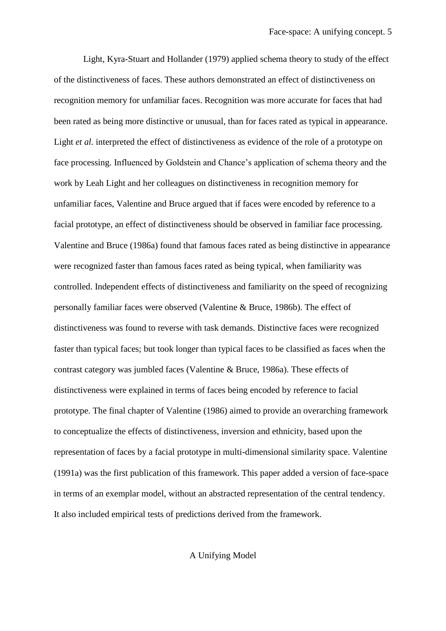Light, Kyra-Stuart and Hollander (1979) applied schema theory to study of the effect of the distinctiveness of faces. These authors demonstrated an effect of distinctiveness on recognition memory for unfamiliar faces. Recognition was more accurate for faces that had been rated as being more distinctive or unusual, than for faces rated as typical in appearance. Light *et al.* interpreted the effect of distinctiveness as evidence of the role of a prototype on face processing. Influenced by Goldstein and Chance's application of schema theory and the work by Leah Light and her colleagues on distinctiveness in recognition memory for unfamiliar faces, Valentine and Bruce argued that if faces were encoded by reference to a facial prototype, an effect of distinctiveness should be observed in familiar face processing. Valentine and Bruce (1986a) found that famous faces rated as being distinctive in appearance were recognized faster than famous faces rated as being typical, when familiarity was controlled. Independent effects of distinctiveness and familiarity on the speed of recognizing personally familiar faces were observed (Valentine & Bruce, 1986b). The effect of distinctiveness was found to reverse with task demands. Distinctive faces were recognized faster than typical faces; but took longer than typical faces to be classified as faces when the contrast category was jumbled faces (Valentine & Bruce, 1986a). These effects of distinctiveness were explained in terms of faces being encoded by reference to facial prototype. The final chapter of Valentine (1986) aimed to provide an overarching framework to conceptualize the effects of distinctiveness, inversion and ethnicity, based upon the representation of faces by a facial prototype in multi-dimensional similarity space. Valentine (1991a) was the first publication of this framework. This paper added a version of face-space in terms of an exemplar model, without an abstracted representation of the central tendency. It also included empirical tests of predictions derived from the framework.

A Unifying Model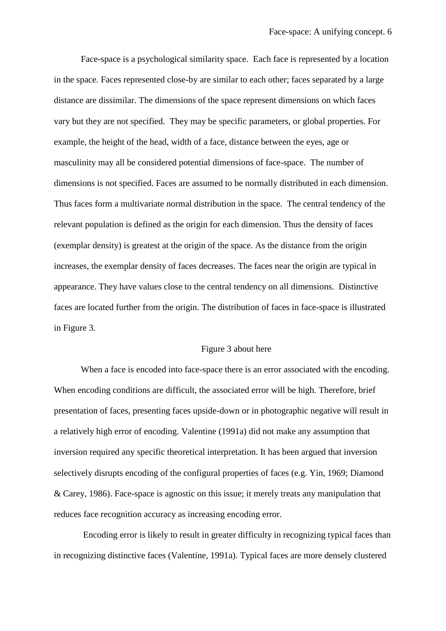Face-space is a psychological similarity space. Each face is represented by a location in the space. Faces represented close-by are similar to each other; faces separated by a large distance are dissimilar. The dimensions of the space represent dimensions on which faces vary but they are not specified. They may be specific parameters, or global properties. For example, the height of the head, width of a face, distance between the eyes, age or masculinity may all be considered potential dimensions of face-space. The number of dimensions is not specified. Faces are assumed to be normally distributed in each dimension. Thus faces form a multivariate normal distribution in the space. The central tendency of the relevant population is defined as the origin for each dimension. Thus the density of faces (exemplar density) is greatest at the origin of the space. As the distance from the origin increases, the exemplar density of faces decreases. The faces near the origin are typical in appearance. They have values close to the central tendency on all dimensions. Distinctive faces are located further from the origin. The distribution of faces in face-space is illustrated in Figure 3.

# Figure 3 about here

When a face is encoded into face-space there is an error associated with the encoding. When encoding conditions are difficult, the associated error will be high. Therefore, brief presentation of faces, presenting faces upside-down or in photographic negative will result in a relatively high error of encoding. Valentine (1991a) did not make any assumption that inversion required any specific theoretical interpretation. It has been argued that inversion selectively disrupts encoding of the configural properties of faces (e.g. Yin, 1969; Diamond & Carey, 1986). Face-space is agnostic on this issue; it merely treats any manipulation that reduces face recognition accuracy as increasing encoding error.

Encoding error is likely to result in greater difficulty in recognizing typical faces than in recognizing distinctive faces (Valentine, 1991a). Typical faces are more densely clustered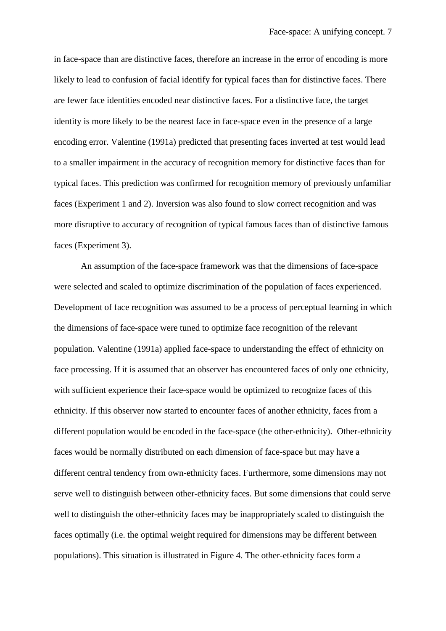in face-space than are distinctive faces, therefore an increase in the error of encoding is more likely to lead to confusion of facial identify for typical faces than for distinctive faces. There are fewer face identities encoded near distinctive faces. For a distinctive face, the target identity is more likely to be the nearest face in face-space even in the presence of a large encoding error. Valentine (1991a) predicted that presenting faces inverted at test would lead to a smaller impairment in the accuracy of recognition memory for distinctive faces than for typical faces. This prediction was confirmed for recognition memory of previously unfamiliar faces (Experiment 1 and 2). Inversion was also found to slow correct recognition and was more disruptive to accuracy of recognition of typical famous faces than of distinctive famous faces (Experiment 3).

An assumption of the face-space framework was that the dimensions of face-space were selected and scaled to optimize discrimination of the population of faces experienced. Development of face recognition was assumed to be a process of perceptual learning in which the dimensions of face-space were tuned to optimize face recognition of the relevant population. Valentine (1991a) applied face-space to understanding the effect of ethnicity on face processing. If it is assumed that an observer has encountered faces of only one ethnicity, with sufficient experience their face-space would be optimized to recognize faces of this ethnicity. If this observer now started to encounter faces of another ethnicity, faces from a different population would be encoded in the face-space (the other-ethnicity). Other-ethnicity faces would be normally distributed on each dimension of face-space but may have a different central tendency from own-ethnicity faces. Furthermore, some dimensions may not serve well to distinguish between other-ethnicity faces. But some dimensions that could serve well to distinguish the other-ethnicity faces may be inappropriately scaled to distinguish the faces optimally (i.e. the optimal weight required for dimensions may be different between populations). This situation is illustrated in Figure 4. The other-ethnicity faces form a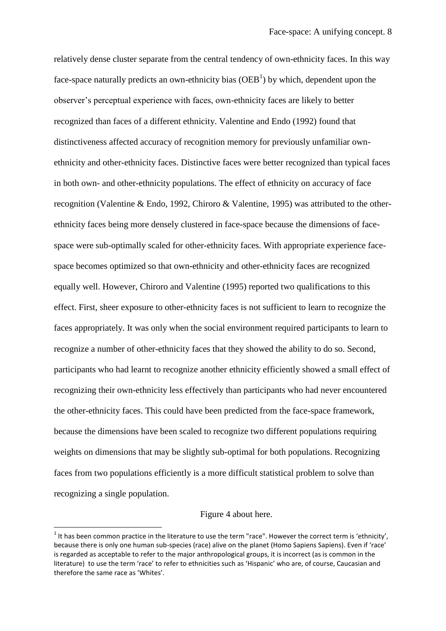relatively dense cluster separate from the central tendency of own-ethnicity faces. In this way face-space naturally predicts an own-ethnicity bias ( $OEB<sup>1</sup>$ ) by which, dependent upon the observer's perceptual experience with faces, own-ethnicity faces are likely to better recognized than faces of a different ethnicity. Valentine and Endo (1992) found that distinctiveness affected accuracy of recognition memory for previously unfamiliar ownethnicity and other-ethnicity faces. Distinctive faces were better recognized than typical faces in both own- and other-ethnicity populations. The effect of ethnicity on accuracy of face recognition (Valentine & Endo, 1992, Chiroro & Valentine, 1995) was attributed to the otherethnicity faces being more densely clustered in face-space because the dimensions of facespace were sub-optimally scaled for other-ethnicity faces. With appropriate experience facespace becomes optimized so that own-ethnicity and other-ethnicity faces are recognized equally well. However, Chiroro and Valentine (1995) reported two qualifications to this effect. First, sheer exposure to other-ethnicity faces is not sufficient to learn to recognize the faces appropriately. It was only when the social environment required participants to learn to recognize a number of other-ethnicity faces that they showed the ability to do so. Second, participants who had learnt to recognize another ethnicity efficiently showed a small effect of recognizing their own-ethnicity less effectively than participants who had never encountered the other-ethnicity faces. This could have been predicted from the face-space framework, because the dimensions have been scaled to recognize two different populations requiring weights on dimensions that may be slightly sub-optimal for both populations. Recognizing faces from two populations efficiently is a more difficult statistical problem to solve than recognizing a single population.

## Figure 4 about here.

 $\overline{\phantom{a}}$ 

 $1$  It has been common practice in the literature to use the term "race". However the correct term is 'ethnicity', because there is only one human sub-species (race) alive on the planet (Homo Sapiens Sapiens). Even if 'race' is regarded as acceptable to refer to the major anthropological groups, it is incorrect (as is common in the literature) to use the term 'race' to refer to ethnicities such as 'Hispanic' who are, of course, Caucasian and therefore the same race as 'Whites'.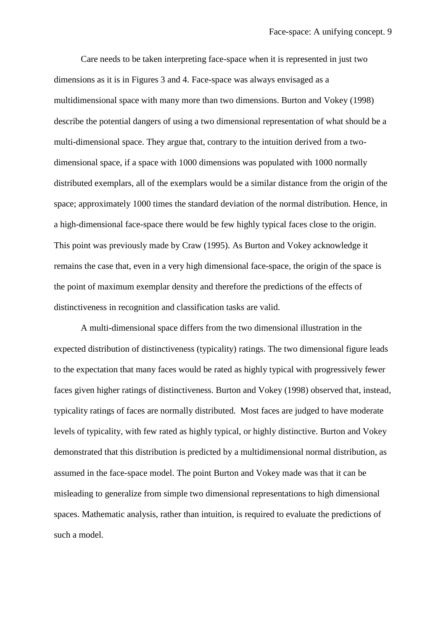Care needs to be taken interpreting face-space when it is represented in just two dimensions as it is in Figures 3 and 4. Face-space was always envisaged as a multidimensional space with many more than two dimensions. Burton and Vokey (1998) describe the potential dangers of using a two dimensional representation of what should be a multi-dimensional space. They argue that, contrary to the intuition derived from a twodimensional space, if a space with 1000 dimensions was populated with 1000 normally distributed exemplars, all of the exemplars would be a similar distance from the origin of the space; approximately 1000 times the standard deviation of the normal distribution. Hence, in a high-dimensional face-space there would be few highly typical faces close to the origin. This point was previously made by Craw (1995). As Burton and Vokey acknowledge it remains the case that, even in a very high dimensional face-space, the origin of the space is the point of maximum exemplar density and therefore the predictions of the effects of distinctiveness in recognition and classification tasks are valid.

A multi-dimensional space differs from the two dimensional illustration in the expected distribution of distinctiveness (typicality) ratings. The two dimensional figure leads to the expectation that many faces would be rated as highly typical with progressively fewer faces given higher ratings of distinctiveness. Burton and Vokey (1998) observed that, instead, typicality ratings of faces are normally distributed. Most faces are judged to have moderate levels of typicality, with few rated as highly typical, or highly distinctive. Burton and Vokey demonstrated that this distribution is predicted by a multidimensional normal distribution, as assumed in the face-space model. The point Burton and Vokey made was that it can be misleading to generalize from simple two dimensional representations to high dimensional spaces. Mathematic analysis, rather than intuition, is required to evaluate the predictions of such a model.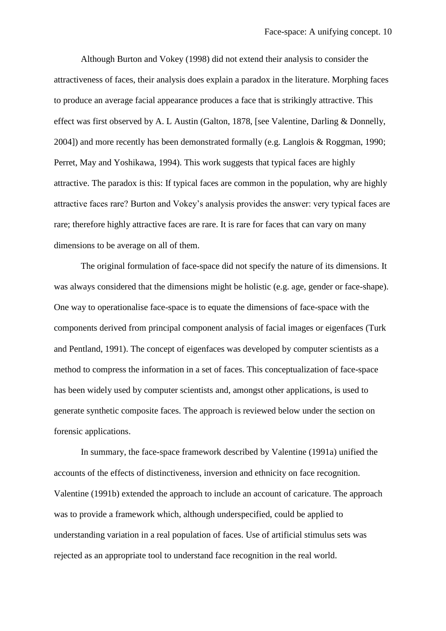Although Burton and Vokey (1998) did not extend their analysis to consider the attractiveness of faces, their analysis does explain a paradox in the literature. Morphing faces to produce an average facial appearance produces a face that is strikingly attractive. This effect was first observed by A. L Austin (Galton, 1878, [see Valentine, Darling & Donnelly, 2004]) and more recently has been demonstrated formally (e.g. Langlois & Roggman, 1990; Perret, May and Yoshikawa, 1994). This work suggests that typical faces are highly attractive. The paradox is this: If typical faces are common in the population, why are highly attractive faces rare? Burton and Vokey's analysis provides the answer: very typical faces are rare; therefore highly attractive faces are rare. It is rare for faces that can vary on many dimensions to be average on all of them.

The original formulation of face-space did not specify the nature of its dimensions. It was always considered that the dimensions might be holistic (e.g. age, gender or face-shape). One way to operationalise face-space is to equate the dimensions of face-space with the components derived from principal component analysis of facial images or eigenfaces (Turk and Pentland, 1991). The concept of eigenfaces was developed by computer scientists as a method to compress the information in a set of faces. This conceptualization of face-space has been widely used by computer scientists and, amongst other applications, is used to generate synthetic composite faces. The approach is reviewed below under the section on forensic applications.

In summary, the face-space framework described by Valentine (1991a) unified the accounts of the effects of distinctiveness, inversion and ethnicity on face recognition. Valentine (1991b) extended the approach to include an account of caricature. The approach was to provide a framework which, although underspecified, could be applied to understanding variation in a real population of faces. Use of artificial stimulus sets was rejected as an appropriate tool to understand face recognition in the real world.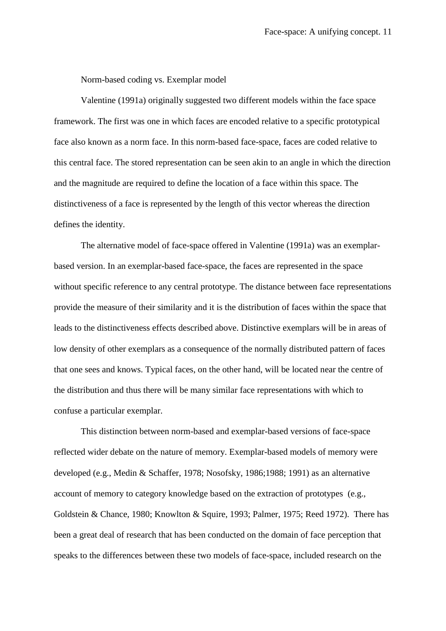Norm-based coding vs. Exemplar model

Valentine (1991a) originally suggested two different models within the face space framework. The first was one in which faces are encoded relative to a specific prototypical face also known as a norm face. In this norm-based face-space, faces are coded relative to this central face. The stored representation can be seen akin to an angle in which the direction and the magnitude are required to define the location of a face within this space. The distinctiveness of a face is represented by the length of this vector whereas the direction defines the identity.

The alternative model of face-space offered in Valentine (1991a) was an exemplarbased version. In an exemplar-based face-space, the faces are represented in the space without specific reference to any central prototype. The distance between face representations provide the measure of their similarity and it is the distribution of faces within the space that leads to the distinctiveness effects described above. Distinctive exemplars will be in areas of low density of other exemplars as a consequence of the normally distributed pattern of faces that one sees and knows. Typical faces, on the other hand, will be located near the centre of the distribution and thus there will be many similar face representations with which to confuse a particular exemplar.

This distinction between norm-based and exemplar-based versions of face-space reflected wider debate on the nature of memory. Exemplar-based models of memory were developed (e.g., Medin & Schaffer, 1978; Nosofsky, 1986;1988; 1991) as an alternative account of memory to category knowledge based on the extraction of prototypes (e.g., Goldstein & Chance, 1980; Knowlton & Squire, 1993; Palmer, 1975; Reed 1972). There has been a great deal of research that has been conducted on the domain of face perception that speaks to the differences between these two models of face-space, included research on the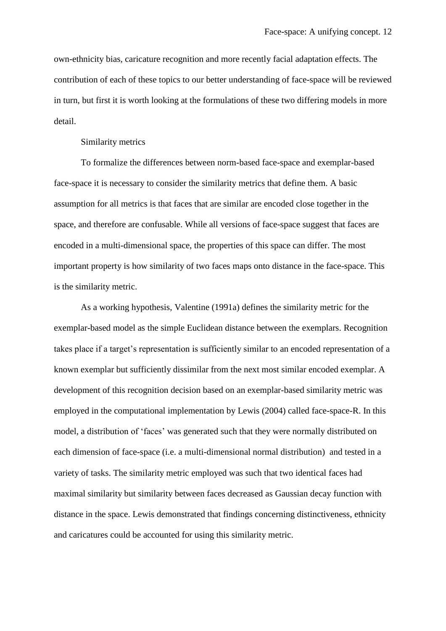own-ethnicity bias, caricature recognition and more recently facial adaptation effects. The contribution of each of these topics to our better understanding of face-space will be reviewed in turn, but first it is worth looking at the formulations of these two differing models in more detail.

#### Similarity metrics

To formalize the differences between norm-based face-space and exemplar-based face-space it is necessary to consider the similarity metrics that define them. A basic assumption for all metrics is that faces that are similar are encoded close together in the space, and therefore are confusable. While all versions of face-space suggest that faces are encoded in a multi-dimensional space, the properties of this space can differ. The most important property is how similarity of two faces maps onto distance in the face-space. This is the similarity metric.

As a working hypothesis, Valentine (1991a) defines the similarity metric for the exemplar-based model as the simple Euclidean distance between the exemplars. Recognition takes place if a target's representation is sufficiently similar to an encoded representation of a known exemplar but sufficiently dissimilar from the next most similar encoded exemplar. A development of this recognition decision based on an exemplar-based similarity metric was employed in the computational implementation by Lewis (2004) called face-space-R. In this model, a distribution of 'faces' was generated such that they were normally distributed on each dimension of face-space (i.e. a multi-dimensional normal distribution) and tested in a variety of tasks. The similarity metric employed was such that two identical faces had maximal similarity but similarity between faces decreased as Gaussian decay function with distance in the space. Lewis demonstrated that findings concerning distinctiveness, ethnicity and caricatures could be accounted for using this similarity metric.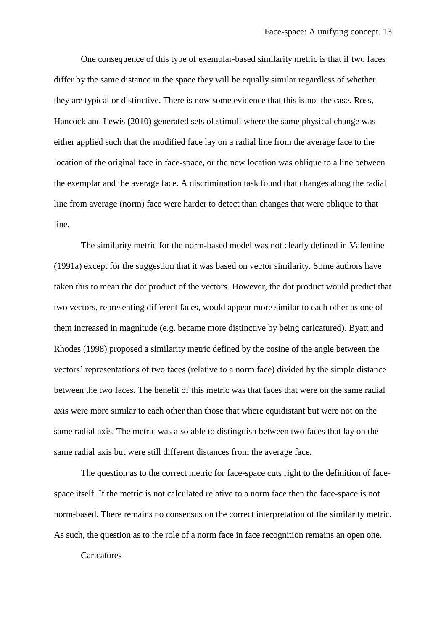One consequence of this type of exemplar-based similarity metric is that if two faces differ by the same distance in the space they will be equally similar regardless of whether they are typical or distinctive. There is now some evidence that this is not the case. Ross, Hancock and Lewis (2010) generated sets of stimuli where the same physical change was either applied such that the modified face lay on a radial line from the average face to the location of the original face in face-space, or the new location was oblique to a line between the exemplar and the average face. A discrimination task found that changes along the radial line from average (norm) face were harder to detect than changes that were oblique to that line.

The similarity metric for the norm-based model was not clearly defined in Valentine (1991a) except for the suggestion that it was based on vector similarity. Some authors have taken this to mean the dot product of the vectors. However, the dot product would predict that two vectors, representing different faces, would appear more similar to each other as one of them increased in magnitude (e.g. became more distinctive by being caricatured). Byatt and Rhodes (1998) proposed a similarity metric defined by the cosine of the angle between the vectors' representations of two faces (relative to a norm face) divided by the simple distance between the two faces. The benefit of this metric was that faces that were on the same radial axis were more similar to each other than those that where equidistant but were not on the same radial axis. The metric was also able to distinguish between two faces that lay on the same radial axis but were still different distances from the average face.

The question as to the correct metric for face-space cuts right to the definition of facespace itself. If the metric is not calculated relative to a norm face then the face-space is not norm-based. There remains no consensus on the correct interpretation of the similarity metric. As such, the question as to the role of a norm face in face recognition remains an open one.

**Caricatures**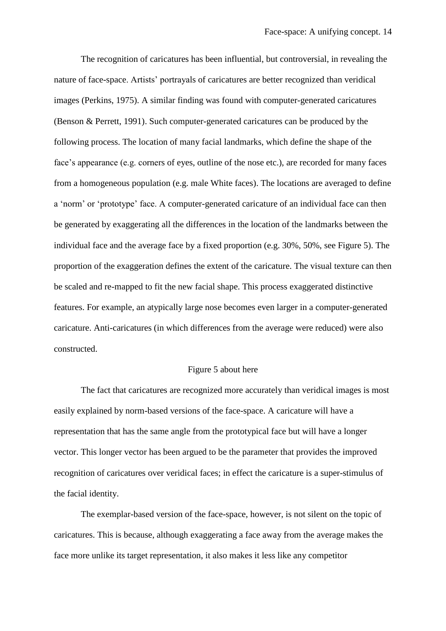The recognition of caricatures has been influential, but controversial, in revealing the nature of face-space. Artists' portrayals of caricatures are better recognized than veridical images (Perkins, 1975). A similar finding was found with computer-generated caricatures (Benson & Perrett, 1991). Such computer-generated caricatures can be produced by the following process. The location of many facial landmarks, which define the shape of the face's appearance (e.g. corners of eyes, outline of the nose etc.), are recorded for many faces from a homogeneous population (e.g. male White faces). The locations are averaged to define a 'norm' or 'prototype' face. A computer-generated caricature of an individual face can then be generated by exaggerating all the differences in the location of the landmarks between the individual face and the average face by a fixed proportion (e.g. 30%, 50%, see Figure 5). The proportion of the exaggeration defines the extent of the caricature. The visual texture can then be scaled and re-mapped to fit the new facial shape. This process exaggerated distinctive features. For example, an atypically large nose becomes even larger in a computer-generated caricature. Anti-caricatures (in which differences from the average were reduced) were also constructed.

#### Figure 5 about here

The fact that caricatures are recognized more accurately than veridical images is most easily explained by norm-based versions of the face-space. A caricature will have a representation that has the same angle from the prototypical face but will have a longer vector. This longer vector has been argued to be the parameter that provides the improved recognition of caricatures over veridical faces; in effect the caricature is a super-stimulus of the facial identity.

The exemplar-based version of the face-space, however, is not silent on the topic of caricatures. This is because, although exaggerating a face away from the average makes the face more unlike its target representation, it also makes it less like any competitor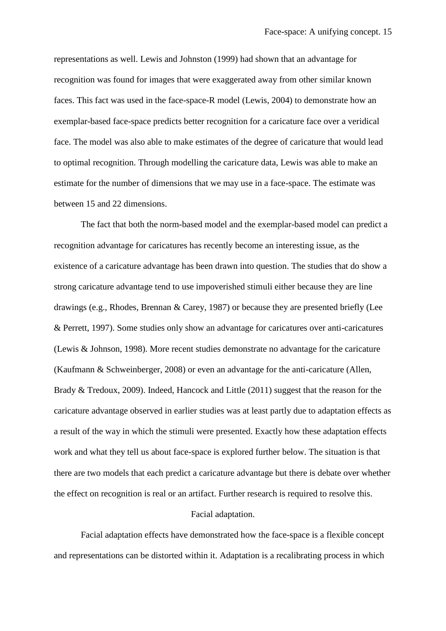representations as well. Lewis and Johnston (1999) had shown that an advantage for recognition was found for images that were exaggerated away from other similar known faces. This fact was used in the face-space-R model (Lewis, 2004) to demonstrate how an exemplar-based face-space predicts better recognition for a caricature face over a veridical face. The model was also able to make estimates of the degree of caricature that would lead to optimal recognition. Through modelling the caricature data, Lewis was able to make an estimate for the number of dimensions that we may use in a face-space. The estimate was between 15 and 22 dimensions.

The fact that both the norm-based model and the exemplar-based model can predict a recognition advantage for caricatures has recently become an interesting issue, as the existence of a caricature advantage has been drawn into question. The studies that do show a strong caricature advantage tend to use impoverished stimuli either because they are line drawings (e.g., Rhodes, Brennan & Carey, 1987) or because they are presented briefly (Lee & Perrett, 1997). Some studies only show an advantage for caricatures over anti-caricatures (Lewis & Johnson, 1998). More recent studies demonstrate no advantage for the caricature (Kaufmann & Schweinberger, 2008) or even an advantage for the anti-caricature (Allen, Brady & Tredoux, 2009). Indeed, Hancock and Little (2011) suggest that the reason for the caricature advantage observed in earlier studies was at least partly due to adaptation effects as a result of the way in which the stimuli were presented. Exactly how these adaptation effects work and what they tell us about face-space is explored further below. The situation is that there are two models that each predict a caricature advantage but there is debate over whether the effect on recognition is real or an artifact. Further research is required to resolve this.

## Facial adaptation.

Facial adaptation effects have demonstrated how the face-space is a flexible concept and representations can be distorted within it. Adaptation is a recalibrating process in which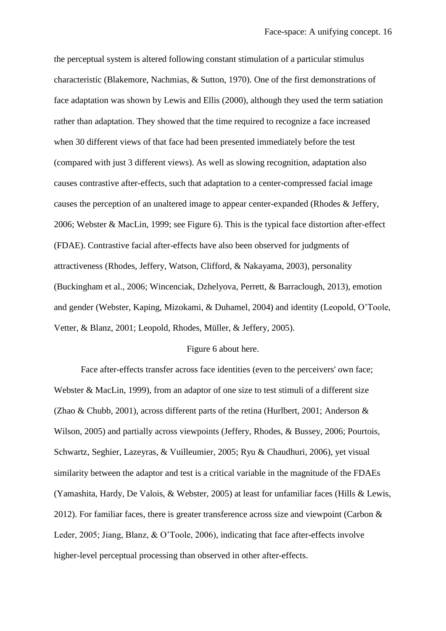the perceptual system is altered following constant stimulation of a particular stimulus characteristic (Blakemore, Nachmias, & Sutton, 1970). One of the first demonstrations of face adaptation was shown by Lewis and Ellis (2000), although they used the term satiation rather than adaptation. They showed that the time required to recognize a face increased when 30 different views of that face had been presented immediately before the test (compared with just 3 different views). As well as slowing recognition, adaptation also causes contrastive after-effects, such that adaptation to a center-compressed facial image causes the perception of an unaltered image to appear center-expanded (Rhodes & Jeffery, 2006; Webster & MacLin, 1999; see Figure 6). This is the typical face distortion after-effect (FDAE). Contrastive facial after-effects have also been observed for judgments of attractiveness (Rhodes, Jeffery, Watson, Clifford, & Nakayama, 2003), personality (Buckingham et al., 2006; Wincenciak, Dzhelyova, Perrett, & Barraclough, 2013), emotion and gender (Webster, Kaping, Mizokami, & Duhamel, 2004) and identity (Leopold, O'Toole, Vetter, & Blanz, 2001; Leopold, Rhodes, Müller, & Jeffery, 2005).

## Figure 6 about here.

Face after-effects transfer across face identities (even to the perceivers' own face; Webster & MacLin, 1999), from an adaptor of one size to test stimuli of a different size (Zhao & Chubb, 2001), across different parts of the retina (Hurlbert, 2001; Anderson & Wilson, 2005) and partially across viewpoints (Jeffery, Rhodes, & Bussey, 2006; Pourtois, Schwartz, Seghier, Lazeyras, & Vuilleumier, 2005; Ryu & Chaudhuri, 2006), yet visual similarity between the adaptor and test is a critical variable in the magnitude of the FDAEs (Yamashita, Hardy, De Valois, & Webster, 2005) at least for unfamiliar faces (Hills & Lewis, 2012). For familiar faces, there is greater transference across size and viewpoint (Carbon  $\&$ Leder, 2005; Jiang, Blanz, & O'Toole, 2006), indicating that face after-effects involve higher-level perceptual processing than observed in other after-effects.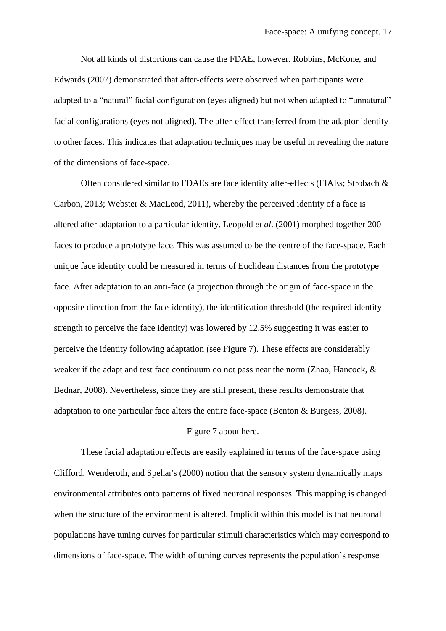Not all kinds of distortions can cause the FDAE, however. Robbins, McKone, and Edwards (2007) demonstrated that after-effects were observed when participants were adapted to a "natural" facial configuration (eyes aligned) but not when adapted to "unnatural" facial configurations (eyes not aligned). The after-effect transferred from the adaptor identity to other faces. This indicates that adaptation techniques may be useful in revealing the nature of the dimensions of face-space.

Often considered similar to FDAEs are face identity after-effects (FIAEs; Strobach & Carbon, 2013; Webster & MacLeod, 2011), whereby the perceived identity of a face is altered after adaptation to a particular identity. Leopold *et al*. (2001) morphed together 200 faces to produce a prototype face. This was assumed to be the centre of the face-space. Each unique face identity could be measured in terms of Euclidean distances from the prototype face. After adaptation to an anti-face (a projection through the origin of face-space in the opposite direction from the face-identity), the identification threshold (the required identity strength to perceive the face identity) was lowered by 12.5% suggesting it was easier to perceive the identity following adaptation (see Figure 7). These effects are considerably weaker if the adapt and test face continuum do not pass near the norm (Zhao, Hancock, & Bednar, 2008). Nevertheless, since they are still present, these results demonstrate that adaptation to one particular face alters the entire face-space (Benton & Burgess, 2008).

# Figure 7 about here.

These facial adaptation effects are easily explained in terms of the face-space using Clifford, Wenderoth, and Spehar's (2000) notion that the sensory system dynamically maps environmental attributes onto patterns of fixed neuronal responses. This mapping is changed when the structure of the environment is altered. Implicit within this model is that neuronal populations have tuning curves for particular stimuli characteristics which may correspond to dimensions of face-space. The width of tuning curves represents the population's response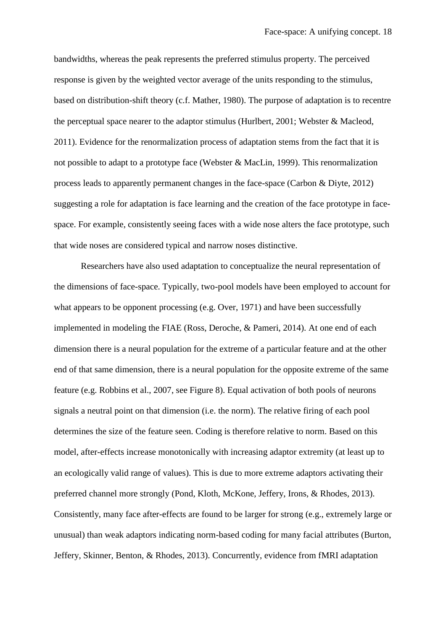bandwidths, whereas the peak represents the preferred stimulus property. The perceived response is given by the weighted vector average of the units responding to the stimulus, based on distribution-shift theory (c.f. Mather, 1980). The purpose of adaptation is to recentre the perceptual space nearer to the adaptor stimulus (Hurlbert, 2001; Webster & Macleod, 2011). Evidence for the renormalization process of adaptation stems from the fact that it is not possible to adapt to a prototype face (Webster & MacLin, 1999). This renormalization process leads to apparently permanent changes in the face-space (Carbon & Diyte, 2012) suggesting a role for adaptation is face learning and the creation of the face prototype in facespace. For example, consistently seeing faces with a wide nose alters the face prototype, such that wide noses are considered typical and narrow noses distinctive.

Researchers have also used adaptation to conceptualize the neural representation of the dimensions of face-space. Typically, two-pool models have been employed to account for what appears to be opponent processing (e.g. Over, 1971) and have been successfully implemented in modeling the FIAE (Ross, Deroche, & Pameri, 2014). At one end of each dimension there is a neural population for the extreme of a particular feature and at the other end of that same dimension, there is a neural population for the opposite extreme of the same feature (e.g. Robbins et al., 2007, see Figure 8). Equal activation of both pools of neurons signals a neutral point on that dimension (i.e. the norm). The relative firing of each pool determines the size of the feature seen. Coding is therefore relative to norm. Based on this model, after-effects increase monotonically with increasing adaptor extremity (at least up to an ecologically valid range of values). This is due to more extreme adaptors activating their preferred channel more strongly (Pond, Kloth, McKone, Jeffery, Irons, & Rhodes, 2013). Consistently, many face after-effects are found to be larger for strong (e.g., extremely large or unusual) than weak adaptors indicating norm-based coding for many facial attributes (Burton, Jeffery, Skinner, Benton, & Rhodes, 2013). Concurrently, evidence from fMRI adaptation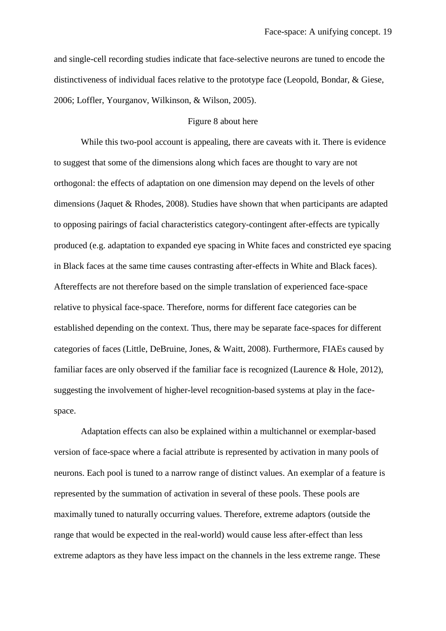and single-cell recording studies indicate that face-selective neurons are tuned to encode the distinctiveness of individual faces relative to the prototype face (Leopold, Bondar, & Giese, 2006; Loffler, Yourganov, Wilkinson, & Wilson, 2005).

# Figure 8 about here

While this two-pool account is appealing, there are caveats with it. There is evidence to suggest that some of the dimensions along which faces are thought to vary are not orthogonal: the effects of adaptation on one dimension may depend on the levels of other dimensions (Jaquet & Rhodes, 2008). Studies have shown that when participants are adapted to opposing pairings of facial characteristics category-contingent after-effects are typically produced (e.g. adaptation to expanded eye spacing in White faces and constricted eye spacing in Black faces at the same time causes contrasting after-effects in White and Black faces). Aftereffects are not therefore based on the simple translation of experienced face-space relative to physical face-space. Therefore, norms for different face categories can be established depending on the context. Thus, there may be separate face-spaces for different categories of faces (Little, DeBruine, Jones, & Waitt, 2008). Furthermore, FIAEs caused by familiar faces are only observed if the familiar face is recognized (Laurence & Hole, 2012), suggesting the involvement of higher-level recognition-based systems at play in the facespace.

Adaptation effects can also be explained within a multichannel or exemplar-based version of face-space where a facial attribute is represented by activation in many pools of neurons. Each pool is tuned to a narrow range of distinct values. An exemplar of a feature is represented by the summation of activation in several of these pools. These pools are maximally tuned to naturally occurring values. Therefore, extreme adaptors (outside the range that would be expected in the real-world) would cause less after-effect than less extreme adaptors as they have less impact on the channels in the less extreme range. These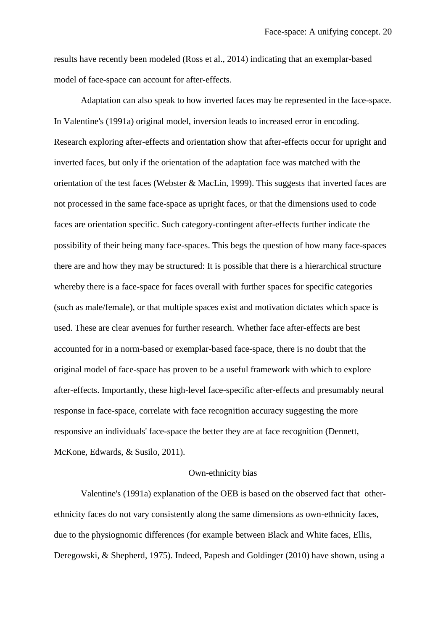results have recently been modeled (Ross et al., 2014) indicating that an exemplar-based model of face-space can account for after-effects.

Adaptation can also speak to how inverted faces may be represented in the face-space. In Valentine's (1991a) original model, inversion leads to increased error in encoding. Research exploring after-effects and orientation show that after-effects occur for upright and inverted faces, but only if the orientation of the adaptation face was matched with the orientation of the test faces (Webster & MacLin, 1999). This suggests that inverted faces are not processed in the same face-space as upright faces, or that the dimensions used to code faces are orientation specific. Such category-contingent after-effects further indicate the possibility of their being many face-spaces. This begs the question of how many face-spaces there are and how they may be structured: It is possible that there is a hierarchical structure whereby there is a face-space for faces overall with further spaces for specific categories (such as male/female), or that multiple spaces exist and motivation dictates which space is used. These are clear avenues for further research. Whether face after-effects are best accounted for in a norm-based or exemplar-based face-space, there is no doubt that the original model of face-space has proven to be a useful framework with which to explore after-effects. Importantly, these high-level face-specific after-effects and presumably neural response in face-space, correlate with face recognition accuracy suggesting the more responsive an individuals' face-space the better they are at face recognition (Dennett, McKone, Edwards, & Susilo, 2011).

#### Own-ethnicity bias

Valentine's (1991a) explanation of the OEB is based on the observed fact that otherethnicity faces do not vary consistently along the same dimensions as own-ethnicity faces, due to the physiognomic differences (for example between Black and White faces, Ellis, Deregowski, & Shepherd, 1975). Indeed, Papesh and Goldinger (2010) have shown, using a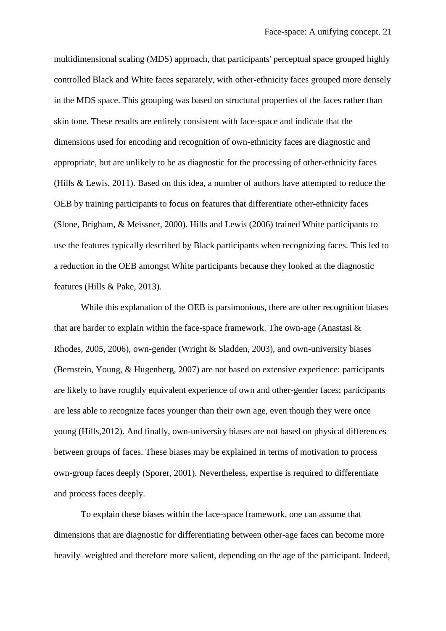multidimensional scaling (MDS) approach, that participants' perceptual space grouped highly controlled Black and White faces separately, with other-ethnicity faces grouped more densely in the MDS space. This grouping was based on structural properties of the faces rather than skin tone. These results are entirely consistent with face-space and indicate that the dimensions used for encoding and recognition of own-ethnicity faces are diagnostic and appropriate, but are unlikely to be as diagnostic for the processing of other-ethnicity faces (Hills & Lewis, 2011). Based on this idea, a number of authors have attempted to reduce the OEB by training participants to focus on features that differentiate other-ethnicity faces (Slone, Brigham, & Meissner, 2000). Hills and Lewis (2006) trained White participants to use the features typically described by Black participants when recognizing faces. This led to a reduction in the OEB amongst White participants because they looked at the diagnostic features (Hills & Pake, 2013).

While this explanation of the OEB is parsimonious, there are other recognition biases that are harder to explain within the face-space framework. The own-age (Anastasi  $\&$ Rhodes, 2005, 2006), own-gender (Wright & Sladden, 2003), and own-university biases (Bernstein, Young, & Hugenberg, 2007) are not based on extensive experience: participants are likely to have roughly equivalent experience of own and other-gender faces; participants are less able to recognize faces younger than their own age, even though they were once young (Hills,2012). And finally, own-university biases are not based on physical differences between groups of faces. These biases may be explained in terms of motivation to process own-group faces deeply (Sporer, 2001). Nevertheless, expertise is required to differentiate and process faces deeply.

To explain these biases within the face-space framework, one can assume that dimensions that are diagnostic for differentiating between other-age faces can become more heavily–weighted and therefore more salient, depending on the age of the participant. Indeed,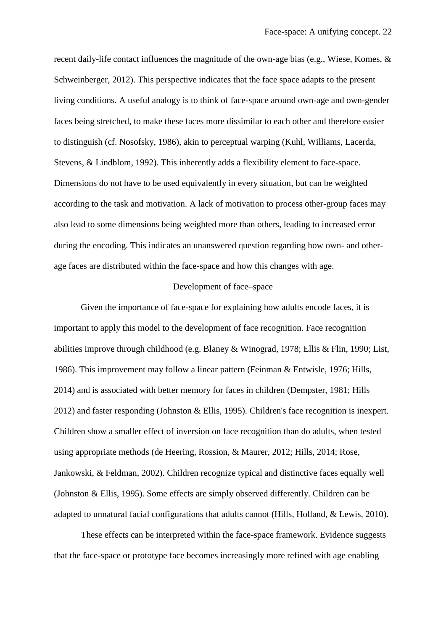recent daily-life contact influences the magnitude of the own-age bias (e.g., Wiese, Komes, & Schweinberger, 2012). This perspective indicates that the face space adapts to the present living conditions. A useful analogy is to think of face-space around own-age and own-gender faces being stretched, to make these faces more dissimilar to each other and therefore easier to distinguish (cf. Nosofsky, 1986), akin to perceptual warping (Kuhl, Williams, Lacerda, Stevens, & Lindblom, 1992). This inherently adds a flexibility element to face-space. Dimensions do not have to be used equivalently in every situation, but can be weighted according to the task and motivation. A lack of motivation to process other-group faces may also lead to some dimensions being weighted more than others, leading to increased error during the encoding. This indicates an unanswered question regarding how own- and otherage faces are distributed within the face-space and how this changes with age.

# Development of face–space

Given the importance of face-space for explaining how adults encode faces, it is important to apply this model to the development of face recognition. Face recognition abilities improve through childhood (e.g. Blaney & Winograd, 1978; Ellis & Flin, 1990; List, 1986). This improvement may follow a linear pattern (Feinman & Entwisle, 1976; Hills, 2014) and is associated with better memory for faces in children (Dempster, 1981; Hills 2012) and faster responding (Johnston & Ellis, 1995). Children's face recognition is inexpert. Children show a smaller effect of inversion on face recognition than do adults, when tested using appropriate methods (de Heering, Rossion, & Maurer, 2012; Hills, 2014; Rose, Jankowski, & Feldman, 2002). Children recognize typical and distinctive faces equally well (Johnston & Ellis, 1995). Some effects are simply observed differently. Children can be adapted to unnatural facial configurations that adults cannot (Hills, Holland, & Lewis, 2010).

These effects can be interpreted within the face-space framework. Evidence suggests that the face-space or prototype face becomes increasingly more refined with age enabling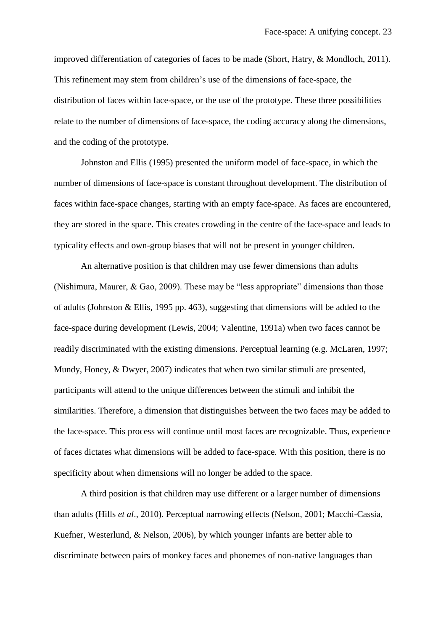improved differentiation of categories of faces to be made (Short, Hatry, & Mondloch, 2011). This refinement may stem from children's use of the dimensions of face-space, the distribution of faces within face-space, or the use of the prototype. These three possibilities relate to the number of dimensions of face-space, the coding accuracy along the dimensions, and the coding of the prototype.

Johnston and Ellis (1995) presented the uniform model of face-space, in which the number of dimensions of face-space is constant throughout development. The distribution of faces within face-space changes, starting with an empty face-space. As faces are encountered, they are stored in the space. This creates crowding in the centre of the face-space and leads to typicality effects and own-group biases that will not be present in younger children.

An alternative position is that children may use fewer dimensions than adults (Nishimura, Maurer, & Gao, 2009). These may be "less appropriate" dimensions than those of adults (Johnston & Ellis, 1995 pp. 463), suggesting that dimensions will be added to the face-space during development (Lewis, 2004; Valentine, 1991a) when two faces cannot be readily discriminated with the existing dimensions. Perceptual learning (e.g. McLaren, 1997; Mundy, Honey, & Dwyer, 2007) indicates that when two similar stimuli are presented, participants will attend to the unique differences between the stimuli and inhibit the similarities. Therefore, a dimension that distinguishes between the two faces may be added to the face-space. This process will continue until most faces are recognizable. Thus, experience of faces dictates what dimensions will be added to face-space. With this position, there is no specificity about when dimensions will no longer be added to the space.

A third position is that children may use different or a larger number of dimensions than adults (Hills *et al*., 2010). Perceptual narrowing effects (Nelson, 2001; Macchi-Cassia, Kuefner, Westerlund, & Nelson, 2006), by which younger infants are better able to discriminate between pairs of monkey faces and phonemes of non-native languages than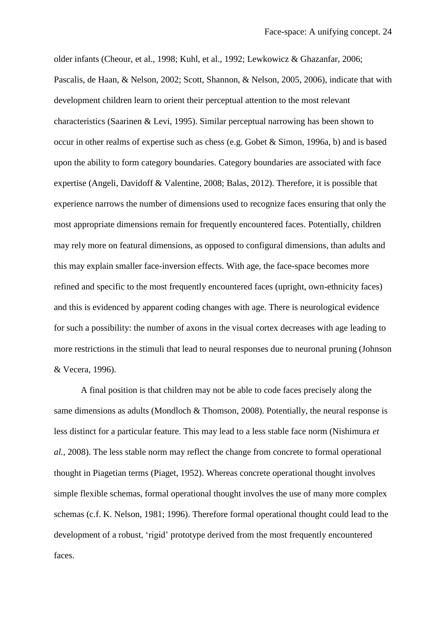older infants (Cheour, et al., 1998; Kuhl, et al., 1992; Lewkowicz & Ghazanfar, 2006; Pascalis, de Haan, & Nelson, 2002; Scott, Shannon, & Nelson, 2005, 2006), indicate that with development children learn to orient their perceptual attention to the most relevant characteristics (Saarinen & Levi, 1995). Similar perceptual narrowing has been shown to occur in other realms of expertise such as chess (e.g. Gobet & Simon, 1996a, b) and is based upon the ability to form category boundaries. Category boundaries are associated with face expertise (Angeli, Davidoff & Valentine, 2008; Balas, 2012). Therefore, it is possible that experience narrows the number of dimensions used to recognize faces ensuring that only the most appropriate dimensions remain for frequently encountered faces. Potentially, children may rely more on featural dimensions, as opposed to configural dimensions, than adults and this may explain smaller face-inversion effects. With age, the face-space becomes more refined and specific to the most frequently encountered faces (upright, own-ethnicity faces) and this is evidenced by apparent coding changes with age. There is neurological evidence for such a possibility: the number of axons in the visual cortex decreases with age leading to more restrictions in the stimuli that lead to neural responses due to neuronal pruning (Johnson & Vecera, 1996).

A final position is that children may not be able to code faces precisely along the same dimensions as adults (Mondloch & Thomson, 2008). Potentially, the neural response is less distinct for a particular feature. This may lead to a less stable face norm (Nishimura *et al.*, 2008). The less stable norm may reflect the change from concrete to formal operational thought in Piagetian terms (Piaget, 1952). Whereas concrete operational thought involves simple flexible schemas, formal operational thought involves the use of many more complex schemas (c.f. K. Nelson, 1981; 1996). Therefore formal operational thought could lead to the development of a robust, 'rigid' prototype derived from the most frequently encountered faces.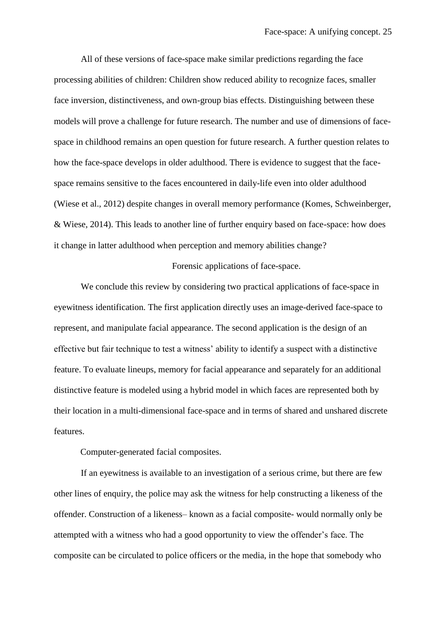All of these versions of face-space make similar predictions regarding the face processing abilities of children: Children show reduced ability to recognize faces, smaller face inversion, distinctiveness, and own-group bias effects. Distinguishing between these models will prove a challenge for future research. The number and use of dimensions of facespace in childhood remains an open question for future research. A further question relates to how the face-space develops in older adulthood. There is evidence to suggest that the facespace remains sensitive to the faces encountered in daily-life even into older adulthood (Wiese et al., 2012) despite changes in overall memory performance (Komes, Schweinberger, & Wiese, 2014). This leads to another line of further enquiry based on face-space: how does it change in latter adulthood when perception and memory abilities change?

# Forensic applications of face-space.

We conclude this review by considering two practical applications of face-space in eyewitness identification. The first application directly uses an image-derived face-space to represent, and manipulate facial appearance. The second application is the design of an effective but fair technique to test a witness' ability to identify a suspect with a distinctive feature. To evaluate lineups, memory for facial appearance and separately for an additional distinctive feature is modeled using a hybrid model in which faces are represented both by their location in a multi-dimensional face-space and in terms of shared and unshared discrete features.

Computer-generated facial composites.

If an eyewitness is available to an investigation of a serious crime, but there are few other lines of enquiry, the police may ask the witness for help constructing a likeness of the offender. Construction of a likeness– known as a facial composite- would normally only be attempted with a witness who had a good opportunity to view the offender's face. The composite can be circulated to police officers or the media, in the hope that somebody who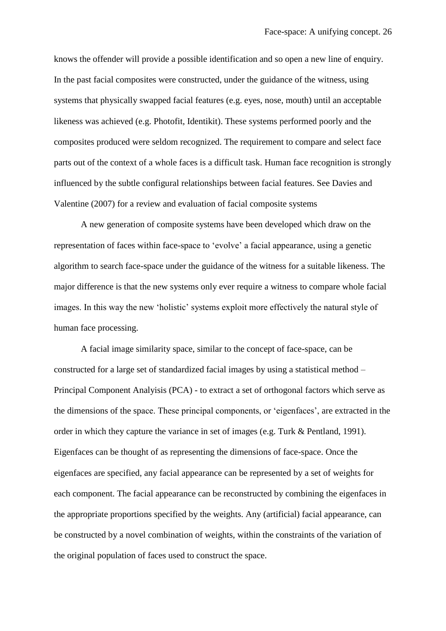knows the offender will provide a possible identification and so open a new line of enquiry. In the past facial composites were constructed, under the guidance of the witness, using systems that physically swapped facial features (e.g. eyes, nose, mouth) until an acceptable likeness was achieved (e.g. Photofit, Identikit). These systems performed poorly and the composites produced were seldom recognized. The requirement to compare and select face parts out of the context of a whole faces is a difficult task. Human face recognition is strongly influenced by the subtle configural relationships between facial features. See Davies and Valentine (2007) for a review and evaluation of facial composite systems

A new generation of composite systems have been developed which draw on the representation of faces within face-space to 'evolve' a facial appearance, using a genetic algorithm to search face-space under the guidance of the witness for a suitable likeness. The major difference is that the new systems only ever require a witness to compare whole facial images. In this way the new 'holistic' systems exploit more effectively the natural style of human face processing.

A facial image similarity space, similar to the concept of face-space, can be constructed for a large set of standardized facial images by using a statistical method – Principal Component Analyisis (PCA) - to extract a set of orthogonal factors which serve as the dimensions of the space. These principal components, or 'eigenfaces', are extracted in the order in which they capture the variance in set of images (e.g. Turk & Pentland, 1991). Eigenfaces can be thought of as representing the dimensions of face-space. Once the eigenfaces are specified, any facial appearance can be represented by a set of weights for each component. The facial appearance can be reconstructed by combining the eigenfaces in the appropriate proportions specified by the weights. Any (artificial) facial appearance, can be constructed by a novel combination of weights, within the constraints of the variation of the original population of faces used to construct the space.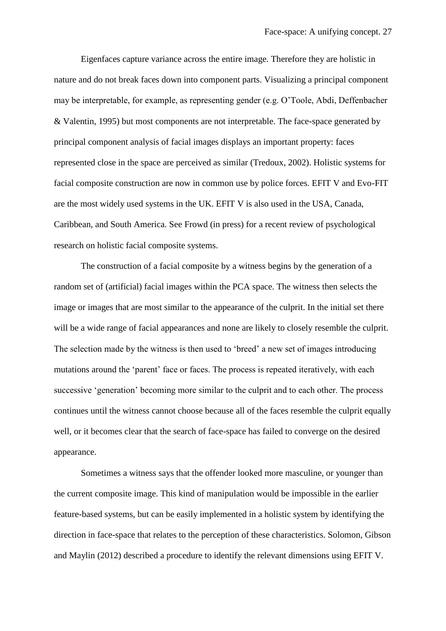Eigenfaces capture variance across the entire image. Therefore they are holistic in nature and do not break faces down into component parts. Visualizing a principal component may be interpretable, for example, as representing gender (e.g. O'Toole, Abdi, Deffenbacher & Valentin, 1995) but most components are not interpretable. The face-space generated by principal component analysis of facial images displays an important property: faces represented close in the space are perceived as similar (Tredoux, 2002). Holistic systems for facial composite construction are now in common use by police forces. EFIT V and Evo-FIT are the most widely used systems in the UK. EFIT V is also used in the USA, Canada, Caribbean, and South America. See Frowd (in press) for a recent review of psychological research on holistic facial composite systems.

The construction of a facial composite by a witness begins by the generation of a random set of (artificial) facial images within the PCA space. The witness then selects the image or images that are most similar to the appearance of the culprit. In the initial set there will be a wide range of facial appearances and none are likely to closely resemble the culprit. The selection made by the witness is then used to 'breed' a new set of images introducing mutations around the 'parent' face or faces. The process is repeated iteratively, with each successive 'generation' becoming more similar to the culprit and to each other. The process continues until the witness cannot choose because all of the faces resemble the culprit equally well, or it becomes clear that the search of face-space has failed to converge on the desired appearance.

Sometimes a witness says that the offender looked more masculine, or younger than the current composite image. This kind of manipulation would be impossible in the earlier feature-based systems, but can be easily implemented in a holistic system by identifying the direction in face-space that relates to the perception of these characteristics. Solomon, Gibson and Maylin (2012) described a procedure to identify the relevant dimensions using EFIT V.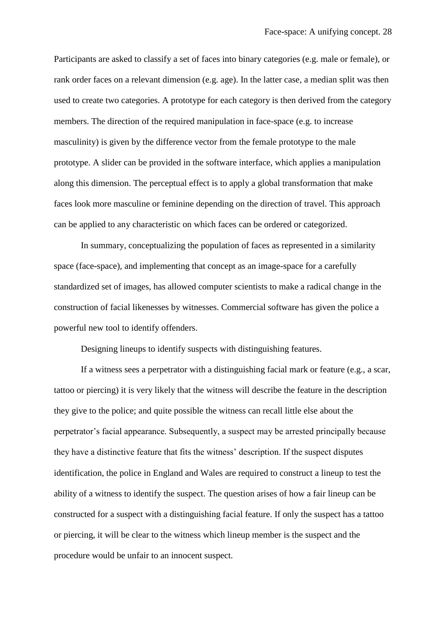Participants are asked to classify a set of faces into binary categories (e.g. male or female), or rank order faces on a relevant dimension (e.g. age). In the latter case, a median split was then used to create two categories. A prototype for each category is then derived from the category members. The direction of the required manipulation in face-space (e.g. to increase masculinity) is given by the difference vector from the female prototype to the male prototype. A slider can be provided in the software interface, which applies a manipulation along this dimension. The perceptual effect is to apply a global transformation that make faces look more masculine or feminine depending on the direction of travel. This approach can be applied to any characteristic on which faces can be ordered or categorized.

In summary, conceptualizing the population of faces as represented in a similarity space (face-space), and implementing that concept as an image-space for a carefully standardized set of images, has allowed computer scientists to make a radical change in the construction of facial likenesses by witnesses. Commercial software has given the police a powerful new tool to identify offenders.

Designing lineups to identify suspects with distinguishing features.

If a witness sees a perpetrator with a distinguishing facial mark or feature (e.g., a scar, tattoo or piercing) it is very likely that the witness will describe the feature in the description they give to the police; and quite possible the witness can recall little else about the perpetrator's facial appearance. Subsequently, a suspect may be arrested principally because they have a distinctive feature that fits the witness' description. If the suspect disputes identification, the police in England and Wales are required to construct a lineup to test the ability of a witness to identify the suspect. The question arises of how a fair lineup can be constructed for a suspect with a distinguishing facial feature. If only the suspect has a tattoo or piercing, it will be clear to the witness which lineup member is the suspect and the procedure would be unfair to an innocent suspect.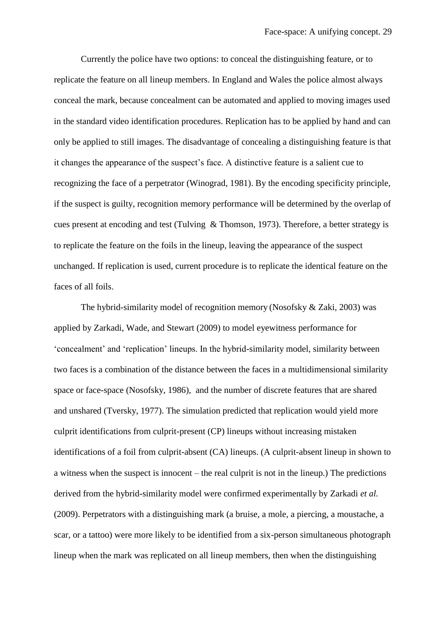Currently the police have two options: to conceal the distinguishing feature, or to replicate the feature on all lineup members. In England and Wales the police almost always conceal the mark, because concealment can be automated and applied to moving images used in the standard video identification procedures. Replication has to be applied by hand and can only be applied to still images. The disadvantage of concealing a distinguishing feature is that it changes the appearance of the suspect's face. A distinctive feature is a salient cue to recognizing the face of a perpetrator (Winograd, 1981). By the encoding specificity principle, if the suspect is guilty, recognition memory performance will be determined by the overlap of cues present at encoding and test (Tulving & Thomson, 1973). Therefore, a better strategy is to replicate the feature on the foils in the lineup, leaving the appearance of the suspect unchanged. If replication is used, current procedure is to replicate the identical feature on the faces of all foils.

The hybrid-similarity model of recognition memory (Nosofsky & Zaki, 2003) was applied by Zarkadi, Wade, and Stewart (2009) to model eyewitness performance for 'concealment' and 'replication' lineups. In the hybrid-similarity model, similarity between two faces is a combination of the distance between the faces in a multidimensional similarity space or face-space (Nosofsky, 1986), and the number of discrete features that are shared and unshared (Tversky, 1977). The simulation predicted that replication would yield more culprit identifications from culprit-present (CP) lineups without increasing mistaken identifications of a foil from culprit-absent (CA) lineups. (A culprit-absent lineup in shown to a witness when the suspect is innocent – the real culprit is not in the lineup.) The predictions derived from the hybrid-similarity model were confirmed experimentally by Zarkadi *et al.* (2009). Perpetrators with a distinguishing mark (a bruise, a mole, a piercing, a moustache, a scar, or a tattoo) were more likely to be identified from a six-person simultaneous photograph lineup when the mark was replicated on all lineup members, then when the distinguishing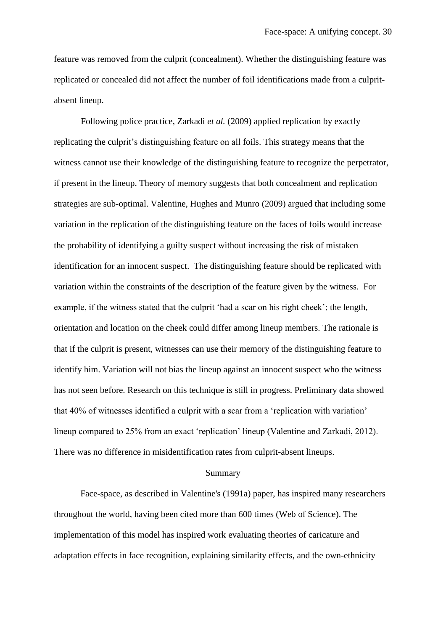feature was removed from the culprit (concealment). Whether the distinguishing feature was replicated or concealed did not affect the number of foil identifications made from a culpritabsent lineup.

Following police practice, Zarkadi *et al.* (2009) applied replication by exactly replicating the culprit's distinguishing feature on all foils. This strategy means that the witness cannot use their knowledge of the distinguishing feature to recognize the perpetrator, if present in the lineup. Theory of memory suggests that both concealment and replication strategies are sub-optimal. Valentine, Hughes and Munro (2009) argued that including some variation in the replication of the distinguishing feature on the faces of foils would increase the probability of identifying a guilty suspect without increasing the risk of mistaken identification for an innocent suspect. The distinguishing feature should be replicated with variation within the constraints of the description of the feature given by the witness. For example, if the witness stated that the culprit 'had a scar on his right cheek'; the length, orientation and location on the cheek could differ among lineup members. The rationale is that if the culprit is present, witnesses can use their memory of the distinguishing feature to identify him. Variation will not bias the lineup against an innocent suspect who the witness has not seen before. Research on this technique is still in progress. Preliminary data showed that 40% of witnesses identified a culprit with a scar from a 'replication with variation' lineup compared to 25% from an exact 'replication' lineup (Valentine and Zarkadi, 2012). There was no difference in misidentification rates from culprit-absent lineups.

#### Summary

Face-space, as described in Valentine's (1991a) paper, has inspired many researchers throughout the world, having been cited more than 600 times (Web of Science). The implementation of this model has inspired work evaluating theories of caricature and adaptation effects in face recognition, explaining similarity effects, and the own-ethnicity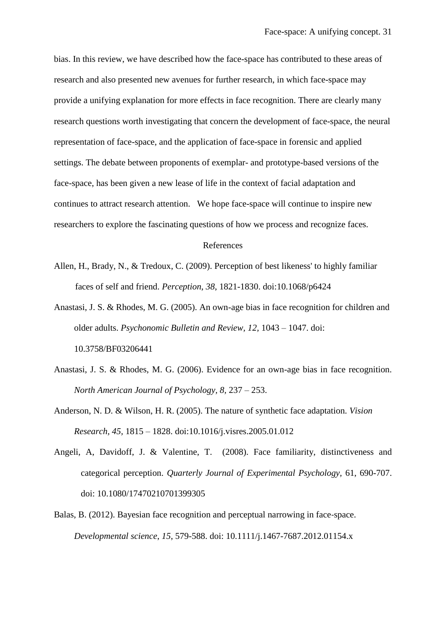bias. In this review, we have described how the face-space has contributed to these areas of research and also presented new avenues for further research, in which face-space may provide a unifying explanation for more effects in face recognition. There are clearly many research questions worth investigating that concern the development of face-space, the neural representation of face-space, and the application of face-space in forensic and applied settings. The debate between proponents of exemplar- and prototype-based versions of the face-space, has been given a new lease of life in the context of facial adaptation and continues to attract research attention. We hope face-space will continue to inspire new researchers to explore the fascinating questions of how we process and recognize faces.

#### References

- Allen, H., Brady, N., & Tredoux, C. (2009). Perception of best likeness' to highly familiar faces of self and friend. *Perception*, *38*, 1821-1830. doi:10.1068/p6424
- Anastasi, J. S. & Rhodes, M. G. (2005). An own-age bias in face recognition for children and older adults. *Psychonomic Bulletin and Review, 12,* 1043 – 1047. doi: 10.3758/BF03206441
- Anastasi, J. S. & Rhodes, M. G. (2006). Evidence for an own-age bias in face recognition. *North American Journal of Psychology, 8,* 237 – 253.
- Anderson, N. D. & Wilson, H. R. (2005). The nature of synthetic face adaptation. *Vision Research, 45,* 1815 – 1828. doi:10.1016/j.visres.2005.01.012
- Angeli, A, Davidoff, J. & Valentine, T. (2008). Face familiarity, distinctiveness and categorical perception. *Quarterly Journal of Experimental Psychology,* 61, 690-707. doi: 10.1080/17470210701399305
- Balas, B. (2012). Bayesian face recognition and perceptual narrowing in face-space. *Developmental science*, *15*, 579-588. doi: 10.1111/j.1467-7687.2012.01154.x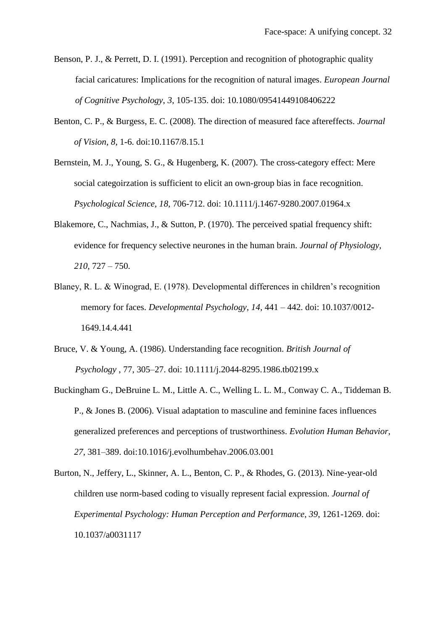- Benson, P. J., & Perrett, D. I. (1991). Perception and recognition of photographic quality facial caricatures: Implications for the recognition of natural images. *European Journal of Cognitive Psychology*, *3*, 105-135. doi: 10.1080/09541449108406222
- Benton, C. P., & Burgess, E. C. (2008). The direction of measured face aftereffects. *Journal of Vision*, *8*, 1-6. doi:10.1167/8.15.1
- Bernstein, M. J., Young, S. G., & Hugenberg, K. (2007). The cross-category effect: Mere social categoirzation is sufficient to elicit an own-group bias in face recognition. *Psychological Science, 18,* 706-712. doi: 10.1111/j.1467-9280.2007.01964.x
- Blakemore, C., Nachmias, J., & Sutton, P. (1970). The perceived spatial frequency shift: evidence for frequency selective neurones in the human brain. *Journal of Physiology, 210,* 727 – 750.
- Blaney, R. L. & Winograd, E. (1978). Developmental differences in children's recognition memory for faces. *Developmental Psychology, 14,* 441 – 442. doi: 10.1037/0012- 1649.14.4.441
- Bruce, V. & Young, A. (1986). Understanding face recognition. *British Journal of Psychology* , 77, 305–27. doi: 10.1111/j.2044-8295.1986.tb02199.x
- Buckingham G., DeBruine L. M., Little A. C., Welling L. L. M., Conway C. A., Tiddeman B. P., & Jones B. (2006). Visual adaptation to masculine and feminine faces influences generalized preferences and perceptions of trustworthiness. *Evolution Human Behavior, 27,* 381–389. doi:10.1016/j.evolhumbehav.2006.03.001
- Burton, N., Jeffery, L., Skinner, A. L., Benton, C. P., & Rhodes, G. (2013). Nine-year-old children use norm-based coding to visually represent facial expression. *Journal of Experimental Psychology: Human Perception and Performance, 39*, 1261-1269. doi: 10.1037/a0031117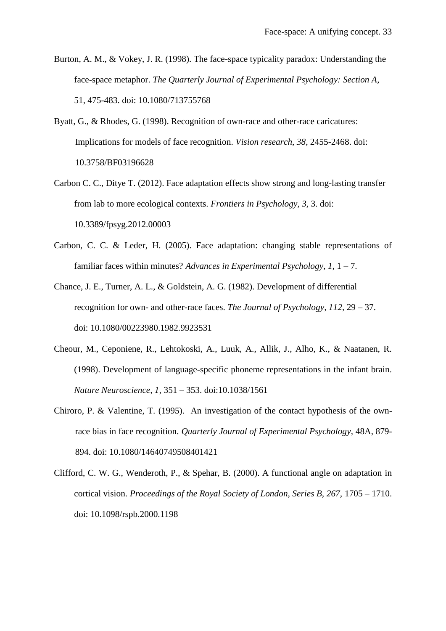- Burton, A. M., & Vokey, J. R. (1998). The face-space typicality paradox: Understanding the face-space metaphor. *The Quarterly Journal of Experimental Psychology: Section A*, 51, 475-483. doi: 10.1080/713755768
- Byatt, G., & Rhodes, G. (1998). Recognition of own-race and other-race caricatures: Implications for models of face recognition. *Vision research*, *38*, 2455-2468. doi: 10.3758/BF03196628
- Carbon C. C., Ditye T. (2012). Face adaptation effects show strong and long-lasting transfer from lab to more ecological contexts. *Frontiers in Psychology, 3,* 3. doi: 10.3389/fpsyg.2012.00003
- Carbon, C. C. & Leder, H. (2005). Face adaptation: changing stable representations of familiar faces within minutes? *Advances in Experimental Psychology, 1,* 1 – 7.
- Chance, J. E., Turner, A. L., & Goldstein, A. G. (1982). Development of differential recognition for own- and other-race faces. *The Journal of Psychology, 112,* 29 – 37. doi: 10.1080/00223980.1982.9923531
- Cheour, M., Ceponiene, R., Lehtokoski, A., Luuk, A., Allik, J., Alho, K., & Naatanen, R. (1998). Development of language-specific phoneme representations in the infant brain. *Nature Neuroscience, 1,* 351 – 353. doi:10.1038/1561
- Chiroro, P. & Valentine, T. (1995). An investigation of the contact hypothesis of the ownrace bias in face recognition. *Quarterly Journal of Experimental Psychology,* 48A, 879- 894. doi: 10.1080/14640749508401421
- Clifford, C. W. G., Wenderoth, P., & Spehar, B. (2000). A functional angle on adaptation in cortical vision. *Proceedings of the Royal Society of London, Series B, 267,* 1705 – 1710. doi: 10.1098/rspb.2000.1198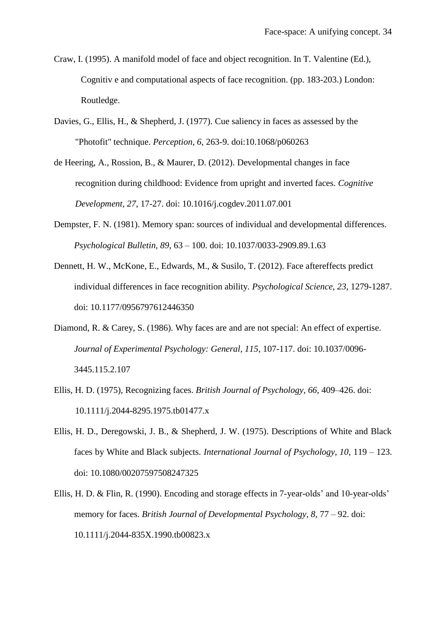- Craw, I. (1995). A manifold model of face and object recognition. In T. Valentine (Ed.), Cognitiv e and computational aspects of face recognition. (pp. 183-203.) London: Routledge.
- Davies, G., Ellis, H., & Shepherd, J. (1977). Cue saliency in faces as assessed by the "Photofit" technique. *Perception*, *6*, 263-9. doi:10.1068/p060263
- de Heering, A., Rossion, B., & Maurer, D. (2012). Developmental changes in face recognition during childhood: Evidence from upright and inverted faces. *Cognitive Development*, *27*, 17-27. doi: 10.1016/j.cogdev.2011.07.001
- Dempster, F. N. (1981). Memory span: sources of individual and developmental differences. *Psychological Bulletin, 89*, 63 – 100. doi: 10.1037/0033-2909.89.1.63
- Dennett, H. W., McKone, E., Edwards, M., & Susilo, T. (2012). Face aftereffects predict individual differences in face recognition ability. *Psychological Science*, *23*, 1279-1287. doi: 10.1177/0956797612446350
- Diamond, R. & Carey, S. (1986). Why faces are and are not special: An effect of expertise. *Journal of Experimental Psychology: General, 115*, 107-117. doi: 10.1037/0096- 3445.115.2.107
- Ellis, H. D. (1975), Recognizing faces. *British Journal of Psychology, 66*, 409–426. doi: 10.1111/j.2044-8295.1975.tb01477.x
- Ellis, H. D., Deregowski, J. B., & Shepherd, J. W. (1975). Descriptions of White and Black faces by White and Black subjects. *International Journal of Psychology, 10,* 119 – 123. doi: 10.1080/00207597508247325
- Ellis, H. D. & Flin, R. (1990). Encoding and storage effects in 7-year-olds' and 10-year-olds' memory for faces. *British Journal of Developmental Psychology, 8,* 77 – 92. doi: 10.1111/j.2044-835X.1990.tb00823.x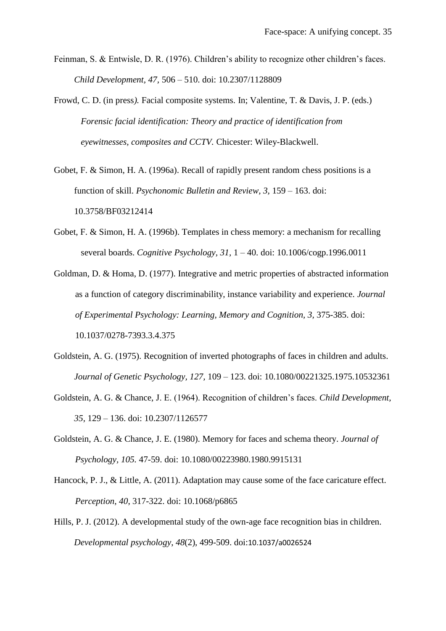- Feinman, S. & Entwisle, D. R. (1976). Children's ability to recognize other children's faces. *Child Development, 47,* 506 – 510. doi: 10.2307/1128809
- Frowd, C. D. (in press*).* Facial composite systems*.* In; Valentine, T. & Davis, J. P. (eds.) *Forensic facial identification: Theory and practice of identification from eyewitnesses, composites and CCTV.* Chicester: Wiley-Blackwell.
- Gobet, F. & Simon, H. A. (1996a). Recall of rapidly present random chess positions is a function of skill. *Psychonomic Bulletin and Review, 3,* 159 – 163. doi: 10.3758/BF03212414
- Gobet, F. & Simon, H. A. (1996b). Templates in chess memory: a mechanism for recalling several boards. *Cognitive Psychology, 31,* 1 – 40. doi: 10.1006/cogp.1996.0011
- Goldman, D. & Homa, D. (1977). Integrative and metric properties of abstracted information as a function of category discriminability, instance variability and experience. *Journal of Experimental Psychology: Learning, Memory and Cognition, 3,* 375-385. doi: 10.1037/0278-7393.3.4.375
- Goldstein, A. G. (1975). Recognition of inverted photographs of faces in children and adults. *Journal of Genetic Psychology, 127,* 109 – 123. doi: 10.1080/00221325.1975.10532361
- Goldstein, A. G. & Chance, J. E. (1964). Recognition of children's faces. *Child Development, 35,* 129 – 136. doi: 10.2307/1126577
- Goldstein, A. G. & Chance, J. E. (1980). Memory for faces and schema theory. *Journal of Psychology, 105.* 47-59. doi: 10.1080/00223980.1980.9915131
- Hancock, P. J., & Little, A. (2011). Adaptation may cause some of the face caricature effect. *Perception*, *40*, 317-322. doi: 10.1068/p6865
- Hills, P. J. (2012). A developmental study of the own-age face recognition bias in children. *Developmental psychology*, *48*(2), 499-509. doi:10.1037/a0026524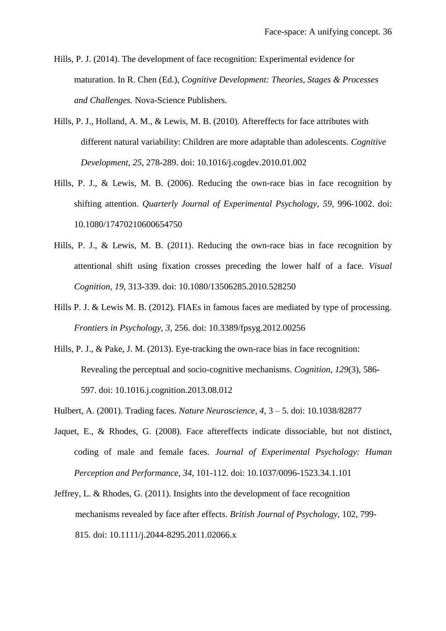- Hills, P. J. (2014). The development of face recognition: Experimental evidence for maturation. In R. Chen (Ed.), *Cognitive Development: Theories, Stages & Processes and Challenges.* Nova-Science Publishers.
- Hills, P. J., Holland, A. M., & Lewis, M. B. (2010). Aftereffects for face attributes with different natural variability: Children are more adaptable than adolescents. *Cognitive Development*, *25*, 278-289. doi: 10.1016/j.cogdev.2010.01.002
- Hills, P. J., & Lewis, M. B. (2006). Reducing the own-race bias in face recognition by shifting attention. *Quarterly Journal of Experimental Psychology*, *59*, 996-1002. doi: 10.1080/17470210600654750
- Hills, P. J., & Lewis, M. B. (2011). Reducing the own-race bias in face recognition by attentional shift using fixation crosses preceding the lower half of a face. *Visual Cognition*, *19*, 313-339. doi: 10.1080/13506285.2010.528250
- Hills P. J. & Lewis M. B. (2012). FIAEs in famous faces are mediated by type of processing. *Frontiers in Psychology, 3*, 256. doi: 10.3389/fpsyg.2012.00256
- Hills, P. J., & Pake, J. M. (2013). Eye-tracking the own-race bias in face recognition: Revealing the perceptual and socio-cognitive mechanisms. *Cognition*, *129*(3), 586- 597. doi: 10.1016.j.cognition.2013.08.012
- Hulbert, A. (2001). Trading faces. *Nature Neuroscience, 4,* 3 5. doi: 10.1038/82877
- Jaquet, E., & Rhodes, G. (2008). Face aftereffects indicate dissociable, but not distinct, coding of male and female faces. *Journal of Experimental Psychology: Human Perception and Performance*, *34*, 101-112. doi: 10.1037/0096-1523.34.1.101
- Jeffrey, L. & Rhodes, G. (2011). Insights into the development of face recognition mechanisms revealed by face after effects. *British Journal of Psychology*, 102, 799- 815. doi: 10.1111/j.2044-8295.2011.02066.x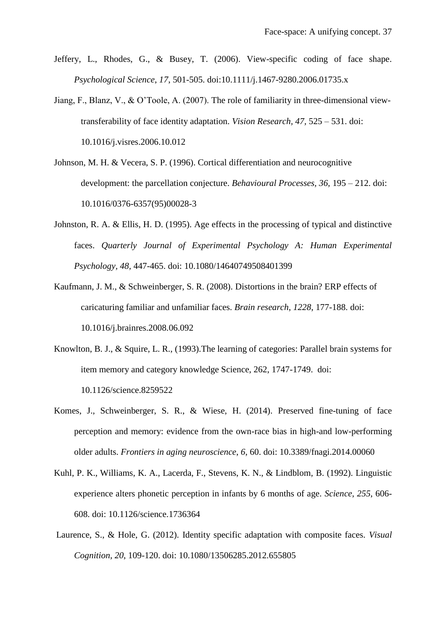- Jeffery, L., Rhodes, G., & Busey, T. (2006). View-specific coding of face shape. *Psychological Science*, *17*, 501-505. doi:10.1111/j.1467-9280.2006.01735.x
- Jiang, F., Blanz, V., & O'Toole, A. (2007). The role of familiarity in three-dimensional viewtransferability of face identity adaptation. *Vision Research, 47,* 525 – 531. doi: 10.1016/j.visres.2006.10.012
- Johnson, M. H. & Vecera, S. P. (1996). Cortical differentiation and neurocognitive development: the parcellation conjecture. *Behavioural Processes, 36,* 195 – 212. doi: 10.1016/0376-6357(95)00028-3
- Johnston, R. A. & Ellis, H. D. (1995). Age effects in the processing of typical and distinctive faces. *Quarterly Journal of Experimental Psychology A: Human Experimental Psychology, 48,* 447-465. doi: 10.1080/14640749508401399
- Kaufmann, J. M., & Schweinberger, S. R. (2008). Distortions in the brain? ERP effects of caricaturing familiar and unfamiliar faces. *Brain research*, *1228*, 177-188. doi: 10.1016/j.brainres.2008.06.092
- Knowlton, B. J., & Squire, L. R., (1993).The learning of categories: Parallel brain systems for item memory and category knowledge Science, 262, 1747-1749. doi: 10.1126/science.8259522
- Komes, J., Schweinberger, S. R., & Wiese, H. (2014). Preserved fine-tuning of face perception and memory: evidence from the own-race bias in high-and low-performing older adults. *Frontiers in aging neuroscience*, *6*, 60. doi: 10.3389/fnagi.2014.00060
- Kuhl, P. K., Williams, K. A., Lacerda, F., Stevens, K. N., & Lindblom, B. (1992). Linguistic experience alters phonetic perception in infants by 6 months of age. *Science*, *255*, 606- 608. doi: 10.1126/science.1736364
- Laurence, S., & Hole, G. (2012). Identity specific adaptation with composite faces. *Visual Cognition*, *20*, 109-120. doi: 10.1080/13506285.2012.655805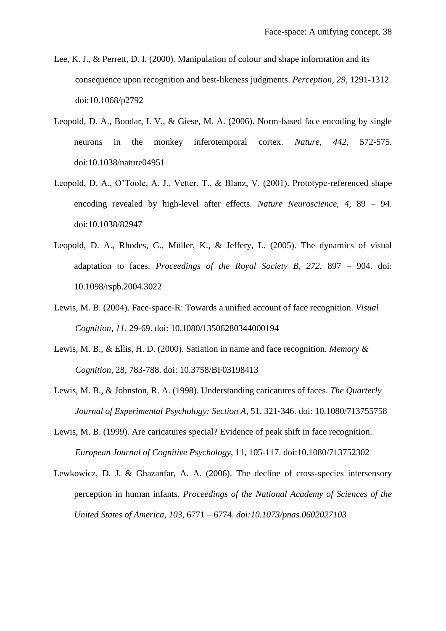- Lee, K. J., & Perrett, D. I. (2000). Manipulation of colour and shape information and its consequence upon recognition and best-likeness judgments. *Perception, 29*, 1291-1312. doi:10.1068/p2792
- Leopold, D. A., Bondar, I. V., & Giese, M. A. (2006). Norm-based face encoding by single neurons in the monkey inferotemporal cortex. *Nature*, *442*, 572-575. doi:10.1038/nature04951
- Leopold, D. A., O'Toole, A. J., Vetter, T., & Blanz, V. (2001). Prototype-referenced shape encoding revealed by high-level after effects. *Nature Neuroscience, 4,* 89 – 94. doi:10.1038/82947
- Leopold, D. A., Rhodes, G., Müller, K., & Jeffery, L. (2005). The dynamics of visual adaptation to faces. *Proceedings of the Royal Society B, 272,* 897 – 904. doi: 10.1098/rspb.2004.3022
- Lewis, M. B. (2004). Face‐space‐R: Towards a unified account of face recognition. *Visual Cognition*, *11*, 29-69. doi: 10.1080/13506280344000194
- Lewis, M. B., & Ellis, H. D. (2000). Satiation in name and face recognition. *Memory & Cognition*, 28, 783-788. doi: 10.3758/BF03198413
- Lewis, M. B., & Johnston, R. A. (1998). Understanding caricatures of faces. *The Quarterly Journal of Experimental Psychology: Section A*, 51, 321-346. doi: 10.1080/713755758
- Lewis, M. B. (1999). Are caricatures special? Evidence of peak shift in face recognition. *European Journal of Cognitive Psychology*, 11, 105-117. doi:10.1080/713752302
- Lewkowicz, D. J. & Ghazanfar, A. A. (2006). The decline of cross-species intersensory perception in human infants. *Proceedings of the National Academy of Sciences of the United States of America, 103,* 6771 – 6774. *doi:10.1073/pnas.0602027103*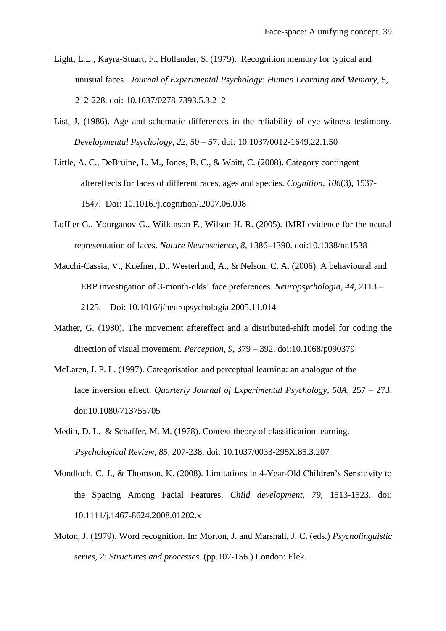- Light, L.L., Kayra-Stuart, F., Hollander, S. (1979). Recognition memory for typical and unusual faces. *Journal of Experimental Psychology: Human Learning and Memory*, 5, 212-228. doi: 10.1037/0278-7393.5.3.212
- List, J. (1986). Age and schematic differences in the reliability of eye-witness testimony. *Developmental Psychology, 22,* 50 – 57. doi: 10.1037/0012-1649.22.1.50
- Little, A. C., DeBruine, L. M., Jones, B. C., & Waitt, C. (2008). Category contingent aftereffects for faces of different races, ages and species. *Cognition*, *106*(3), 1537- 1547. Doi: 10.1016./j.cognition/.2007.06.008
- Loffler G., Yourganov G., Wilkinson F., Wilson H. R. (2005). fMRI evidence for the neural representation of faces. *Nature Neuroscience, 8,* 1386–1390. doi:10.1038/nn1538
- Macchi-Cassia, V., Kuefner, D., Westerlund, A., & Nelson, C. A. (2006). A behavioural and ERP investigation of 3-month-olds' face preferences. *Neuropsychologia, 44,* 2113 – 2125. Doi: 10.1016/j/neuropsychologia.2005.11.014
- Mather, G. (1980). The movement aftereffect and a distributed-shift model for coding the direction of visual movement. *Perception, 9,* 379 – 392. doi:10.1068/p090379
- McLaren, I. P. L. (1997). Categorisation and perceptual learning: an analogue of the face inversion effect. *Quarterly Journal of Experimental Psychology, 50A*, 257 – 273. doi:10.1080/713755705
- Medin, D. L. & Schaffer, M. M. (1978). Context theory of classification learning. *Psychological Review, 85*, 207-238. doi: 10.1037/0033-295X.85.3.207
- Mondloch, C. J., & Thomson, K. (2008). Limitations in 4‐Year‐Old Children's Sensitivity to the Spacing Among Facial Features. *Child development*, *79*, 1513-1523. doi: 10.1111/j.1467-8624.2008.01202.x
- Moton, J. (1979). Word recognition. In: Morton, J. and Marshall, J. C. (eds.) *Psycholinguistic series, 2: Structures and processes.* (pp.107-156.) London: Elek.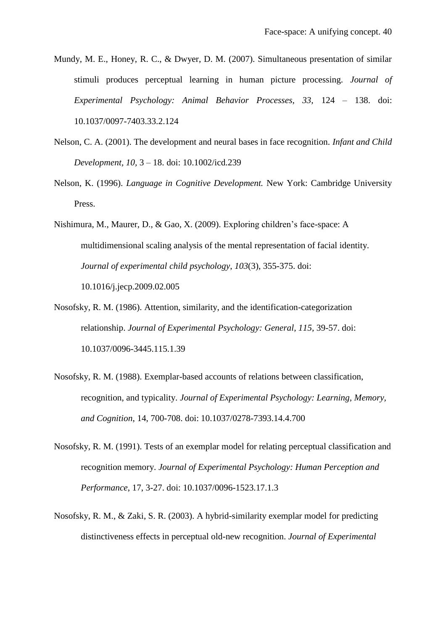- Mundy, M. E., Honey, R. C., & Dwyer, D. M. (2007). Simultaneous presentation of similar stimuli produces perceptual learning in human picture processing. *Journal of Experimental Psychology: Animal Behavior Processes, 33,* 124 – 138. doi: 10.1037/0097-7403.33.2.124
- Nelson, C. A. (2001). The development and neural bases in face recognition. *Infant and Child Development, 10,* 3 – 18. doi: 10.1002/icd.239
- Nelson, K. (1996). *Language in Cognitive Development.* New York: Cambridge University Press.
- Nishimura, M., Maurer, D., & Gao, X. (2009). Exploring children's face-space: A multidimensional scaling analysis of the mental representation of facial identity. *Journal of experimental child psychology*, *103*(3), 355-375. doi: 10.1016/j.jecp.2009.02.005
- Nosofsky, R. M. (1986). Attention, similarity, and the identification-categorization relationship. *Journal of Experimental Psychology: General, 115,* 39-57. doi: 10.1037/0096-3445.115.1.39
- Nosofsky, R. M. (1988). Exemplar-based accounts of relations between classification, recognition, and typicality. *Journal of Experimental Psychology: Learning, Memory, and Cognition*, 14, 700-708. doi: 10.1037/0278-7393.14.4.700
- Nosofsky, R. M. (1991). Tests of an exemplar model for relating perceptual classification and recognition memory. *Journal of Experimental Psychology: Human Perception and Performance*, 17, 3-27. doi: 10.1037/0096-1523.17.1.3
- Nosofsky, R. M., & Zaki, S. R. (2003). A hybrid-similarity exemplar model for predicting distinctiveness effects in perceptual old-new recognition. *Journal of Experimental*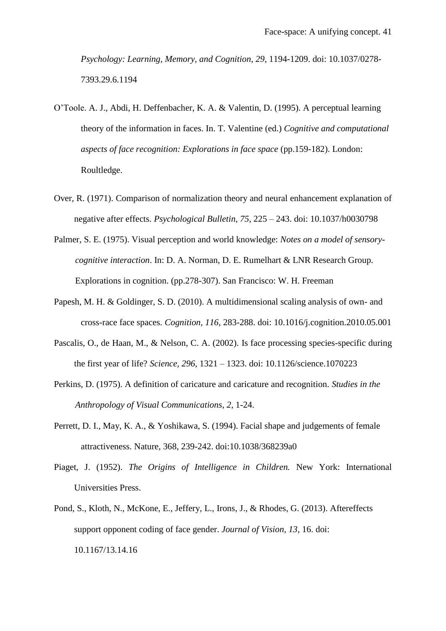*Psychology: Learning, Memory, and Cognition*, *29*, 1194-1209. doi: 10.1037/0278- 7393.29.6.1194

- O'Toole. A. J., Abdi, H. Deffenbacher, K. A. & Valentin, D. (1995). A perceptual learning theory of the information in faces. In. T. Valentine (ed.) *Cognitive and computational aspects of face recognition: Explorations in face space* (pp.159-182). London: Roultledge.
- Over, R. (1971). Comparison of normalization theory and neural enhancement explanation of negative after effects. *Psychological Bulletin, 75,* 225 – 243. doi: 10.1037/h0030798
- Palmer, S. E. (1975). Visual perception and world knowledge: *Notes on a model of sensorycognitive interaction*. In: D. A. Norman, D. E. Rumelhart & LNR Research Group. Explorations in cognition. (pp.278-307). San Francisco: W. H. Freeman
- Papesh, M. H. & Goldinger, S. D. (2010). A multidimensional scaling analysis of own- and cross-race face spaces. *Cognition, 116,* 283-288. doi: 10.1016/j.cognition.2010.05.001
- Pascalis, O., de Haan, M., & Nelson, C. A. (2002). Is face processing species-specific during the first year of life? *Science, 296,* 1321 – 1323. doi: 10.1126/science.1070223
- Perkins, D. (1975). A definition of caricature and caricature and recognition. *Studies in the Anthropology of Visual Communications*, *2*, 1-24.
- Perrett, D. I., May, K. A., & Yoshikawa, S. (1994). Facial shape and judgements of female attractiveness. Nature, 368, 239-242. doi:10.1038/368239a0
- Piaget, J. (1952). *The Origins of Intelligence in Children.* New York: International Universities Press.
- Pond, S., Kloth, N., McKone, E., Jeffery, L., Irons, J., & Rhodes, G. (2013). Aftereffects support opponent coding of face gender. *Journal of Vision, 13*, 16. doi: 10.1167/13.14.16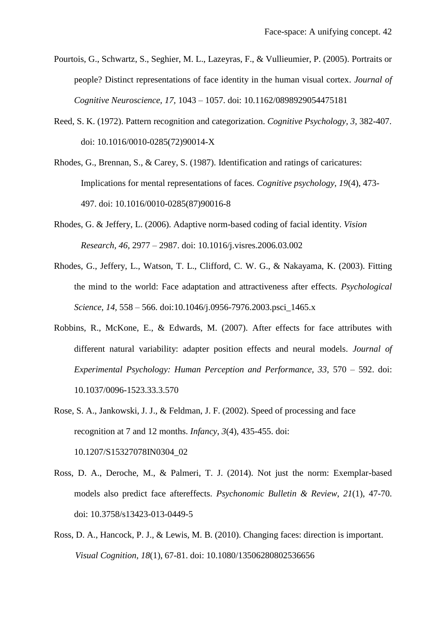- Pourtois, G., Schwartz, S., Seghier, M. L., Lazeyras, F., & Vullieumier, P. (2005). Portraits or people? Distinct representations of face identity in the human visual cortex. *Journal of Cognitive Neuroscience, 17,* 1043 – 1057. doi: 10.1162/0898929054475181
- Reed, S. K. (1972). Pattern recognition and categorization. *Cognitive Psychology, 3,* 382-407. doi: 10.1016/0010-0285(72)90014-X
- Rhodes, G., Brennan, S., & Carey, S. (1987). Identification and ratings of caricatures: Implications for mental representations of faces. *Cognitive psychology*, *19*(4), 473- 497. doi: 10.1016/0010-0285(87)90016-8
- Rhodes, G. & Jeffery, L. (2006). Adaptive norm-based coding of facial identity. *Vision Research, 46,* 2977 – 2987. doi: 10.1016/j.visres.2006.03.002
- Rhodes, G., Jeffery, L., Watson, T. L., Clifford, C. W. G., & Nakayama, K. (2003). Fitting the mind to the world: Face adaptation and attractiveness after effects. *Psychological Science, 14,* 558 – 566. doi:10.1046/j.0956-7976.2003.psci\_1465.x
- Robbins, R., McKone, E., & Edwards, M. (2007). After effects for face attributes with different natural variability: adapter position effects and neural models. *Journal of Experimental Psychology: Human Perception and Performance, 33,* 570 – 592. doi: 10.1037/0096-1523.33.3.570
- Rose, S. A., Jankowski, J. J., & Feldman, J. F. (2002). Speed of processing and face recognition at 7 and 12 months. *Infancy*, *3*(4), 435-455. doi: 10.1207/S15327078IN0304\_02
- Ross, D. A., Deroche, M., & Palmeri, T. J. (2014). Not just the norm: Exemplar-based models also predict face aftereffects. *Psychonomic Bulletin & Review*, *21*(1), 47-70. doi: 10.3758/s13423-013-0449-5
- Ross, D. A., Hancock, P. J., & Lewis, M. B. (2010). Changing faces: direction is important. *Visual Cognition*, *18*(1), 67-81. doi: 10.1080/13506280802536656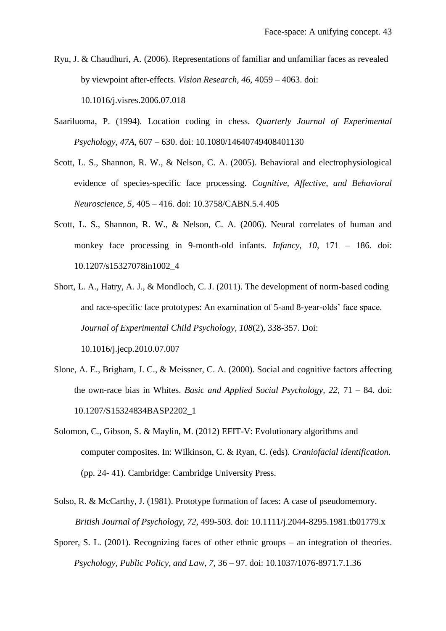Ryu, J. & Chaudhuri, A. (2006). Representations of familiar and unfamiliar faces as revealed by viewpoint after-effects. *Vision Research, 46,* 4059 – 4063. doi: 10.1016/j.visres.2006.07.018

- Saariluoma, P. (1994). Location coding in chess. *Quarterly Journal of Experimental Psychology, 47A,* 607 – 630. doi: 10.1080/14640749408401130
- Scott, L. S., Shannon, R. W., & Nelson, C. A. (2005). Behavioral and electrophysiological evidence of species-specific face processing. *Cognitive, Affective, and Behavioral Neuroscience, 5,* 405 – 416. doi: 10.3758/CABN.5.4.405
- Scott, L. S., Shannon, R. W., & Nelson, C. A. (2006). Neural correlates of human and monkey face processing in 9-month-old infants. *Infancy, 10,* 171 – 186. doi: 10.1207/s15327078in1002\_4
- Short, L. A., Hatry, A. J., & Mondloch, C. J. (2011). The development of norm-based coding and race-specific face prototypes: An examination of 5-and 8-year-olds' face space. *Journal of Experimental Child Psychology*, *108*(2), 338-357. Doi: 10.1016/j.jecp.2010.07.007
- Slone, A. E., Brigham, J. C., & Meissner, C. A. (2000). Social and cognitive factors affecting the own-race bias in Whites. *Basic and Applied Social Psychology, 22,* 71 – 84. doi: 10.1207/S15324834BASP2202\_1
- Solomon, C., Gibson, S. & Maylin, M. (2012) EFIT-V: Evolutionary algorithms and computer composites. In: Wilkinson, C. & Ryan, C. (eds). *Craniofacial identification*. (pp. 24- 41). Cambridge: Cambridge University Press.
- Solso, R. & McCarthy, J. (1981). Prototype formation of faces: A case of pseudomemory. *British Journal of Psychology, 72*, 499-503. doi: 10.1111/j.2044-8295.1981.tb01779.x
- Sporer, S. L. (2001). Recognizing faces of other ethnic groups an integration of theories. *Psychology, Public Policy, and Law, 7,* 36 – 97. doi: 10.1037/1076-8971.7.1.36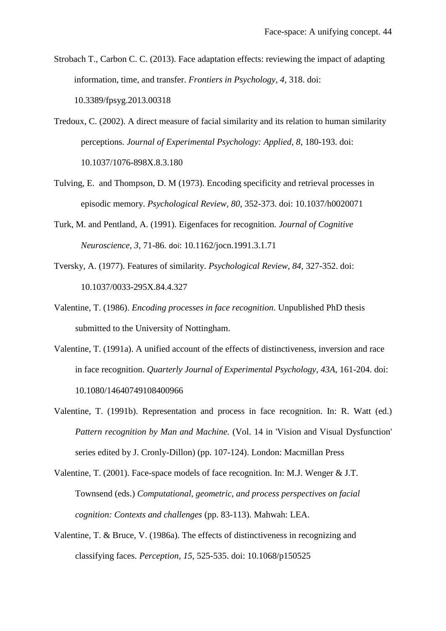- Strobach T., Carbon C. C. (2013). Face adaptation effects: reviewing the impact of adapting information, time, and transfer. *Frontiers in Psychology, 4,* 318. doi: 10.3389/fpsyg.2013.00318
- Tredoux, C. (2002). A direct measure of facial similarity and its relation to human similarity perceptions. *Journal of Experimental Psychology: Applied, 8*, 180-193. doi: 10.1037/1076-898X.8.3.180
- Tulving, E. and Thompson, D. M (1973). Encoding specificity and retrieval processes in episodic memory. *Psychological Review, 80*, 352-373. doi: 10.1037/h0020071
- Turk, M. and Pentland, A. (1991). Eigenfaces for recognition. *Journal of Cognitive Neuroscience, 3,* 71-86. doi: 10.1162/jocn.1991.3.1.71
- Tversky, A. (1977). Features of similarity. *Psychological Review, 84,* 327-352. doi: 10.1037/0033-295X.84.4.327
- Valentine, T. (1986). *Encoding processes in face recognition*. Unpublished PhD thesis submitted to the University of Nottingham.
- Valentine, T. (1991a). A unified account of the effects of distinctiveness, inversion and race in face recognition. *Quarterly Journal of Experimental Psychology, 43A*, 161-204. doi: 10.1080/14640749108400966
- Valentine, T. (1991b). Representation and process in face recognition. In: R. Watt (ed.) *Pattern recognition by Man and Machine.* (Vol. 14 in 'Vision and Visual Dysfunction' series edited by J. Cronly-Dillon) (pp. 107-124). London: Macmillan Press
- Valentine, T. (2001). Face-space models of face recognition. In: M.J. Wenger & J.T. Townsend (eds.) *Computational, geometric, and process perspectives on facial cognition: Contexts and challenges* (pp. 83-113). Mahwah: LEA.
- Valentine, T. & Bruce, V. (1986a). The effects of distinctiveness in recognizing and classifying faces. *Perception, 15*, 525-535. doi: 10.1068/p150525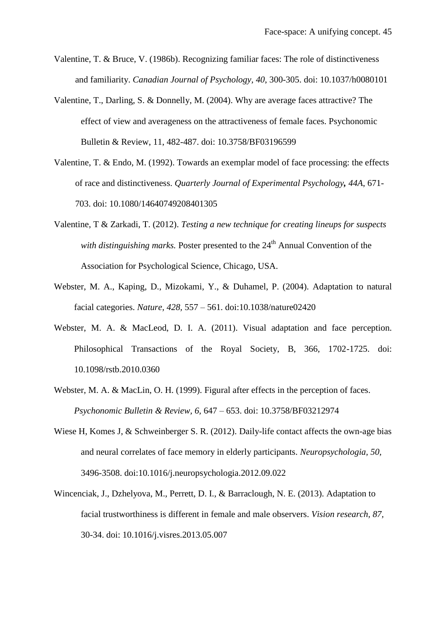- Valentine, T. & Bruce, V. (1986b). Recognizing familiar faces: The role of distinctiveness and familiarity. *Canadian Journal of Psychology, 40*, 300-305. doi: 10.1037/h0080101
- Valentine, T., Darling, S. & Donnelly, M. (2004). Why are average faces attractive? The effect of view and averageness on the attractiveness of female faces. Psychonomic Bulletin & Review, 11, 482-487. doi: 10.3758/BF03196599
- Valentine, T. & Endo, M. (1992). Towards an exemplar model of face processing: the effects of race and distinctiveness. *Quarterly Journal of Experimental Psychology, 44A*, 671- 703. doi: 10.1080/14640749208401305
- Valentine, T & Zarkadi, T. (2012). *Testing a new technique for creating lineups for suspects with distinguishing marks.* Poster presented to the 24<sup>th</sup> Annual Convention of the Association for Psychological Science, Chicago, USA.
- Webster, M. A., Kaping, D., Mizokami, Y., & Duhamel, P. (2004). Adaptation to natural facial categories. *Nature, 428,* 557 – 561. doi:10.1038/nature02420
- Webster, M. A. & MacLeod, D. I. A. (2011). Visual adaptation and face perception. Philosophical Transactions of the Royal Society, B, 366, 1702-1725. doi: 10.1098/rstb.2010.0360
- Webster, M. A. & MacLin, O. H. (1999). Figural after effects in the perception of faces. *Psychonomic Bulletin & Review, 6,* 647 – 653. doi: 10.3758/BF03212974
- Wiese H, Komes J, & Schweinberger S. R. (2012). Daily-life contact affects the own-age bias and neural correlates of face memory in elderly participants. *Neuropsychologia, 50,* 3496-3508. doi:10.1016/j.neuropsychologia.2012.09.022
- Wincenciak, J., Dzhelyova, M., Perrett, D. I., & Barraclough, N. E. (2013). Adaptation to facial trustworthiness is different in female and male observers. *Vision research, 87,* 30-34. doi: 10.1016/j.visres.2013.05.007